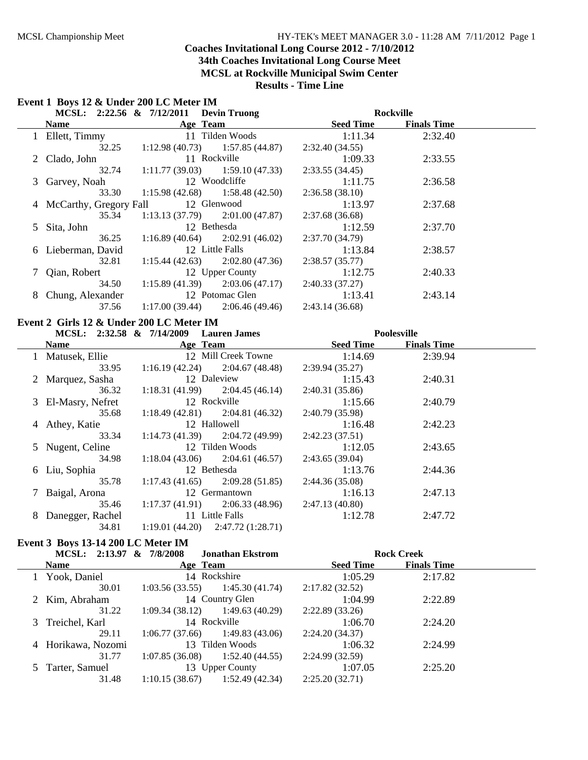### **Coaches Invitational Long Course 2012 - 7/10/2012 34th Coaches Invitational Long Course Meet**

**MCSL at Rockville Municipal Swim Center**

#### **Results - Time Line**

### **Event 1 Boys 12 & Under 200 LC Meter IM**

|                |                                          | MCSL: 2:22.56 & 7/12/2011 Devin Truong                    |                  | <b>Rockville</b>   |  |
|----------------|------------------------------------------|-----------------------------------------------------------|------------------|--------------------|--|
|                | <b>Name</b>                              | Age Team                                                  | Seed Time        | <b>Finals Time</b> |  |
|                | 1 Ellett, Timmy                          | 11 Tilden Woods                                           | 1:11.34          | 2:32.40            |  |
|                |                                          | $\frac{1}{32.25}$ 1:12.98 (40.73) 1:57.85 (44.87)         | 2:32.40(34.55)   |                    |  |
|                | 2 Clado, John                            | 11 Rockville                                              | 1:09.33          | 2:33.55            |  |
|                | 32.74                                    | $1:11.77(39.03)$ $1:59.10(47.33)$                         | 2:33.55(34.45)   |                    |  |
|                | 3 Garvey, Noah                           | 12 Woodcliffe                                             | 1:11.75          | 2:36.58            |  |
|                | 33.30                                    | $1:15.98(42.68)$ $1:58.48(42.50)$                         | 2:36.58(38.10)   |                    |  |
|                |                                          | 4 McCarthy, Gregory Fall 12 Glenwood                      | 1:13.97          | 2:37.68            |  |
|                | 35.34                                    | $1:13.13(37.79)$ $2:01.00(47.87)$                         | 2:37.68(36.68)   |                    |  |
| 5 <sup>5</sup> | Sita, John                               | 12 Bethesda                                               | 1:12.59          | 2:37.70            |  |
|                | 36.25                                    | $1:16.89(40.64)$ $2:02.91(46.02)$                         | 2:37.70(34.79)   |                    |  |
|                | 6 Lieberman, David                       | 12 Little Falls                                           | 1:13.84          | 2:38.57            |  |
|                | 32.81                                    | $1:15.44(42.63)$ $2:02.80(47.36)$                         | 2:38.57(35.77)   |                    |  |
|                | Qian, Robert                             | 12 Upper County                                           | 1:12.75          | 2:40.33            |  |
|                | 34.50                                    | 1:12.7<br>1:15.89 (41.39) 2:03.06 (47.17) 2:40.33 (37.27) |                  |                    |  |
|                | 8 Chung, Alexander                       | 12 Potomac Glen 1:13.41                                   |                  | 2:43.14            |  |
|                | 37.56                                    | $1:17.00(39.44)$ $2:06.46(49.46)$ $2:43.14(36.68)$        |                  |                    |  |
|                | Event 2 Girls 12 & Under 200 LC Meter IM |                                                           |                  |                    |  |
|                |                                          | MCSL: 2:32.58 & 7/14/2009 Lauren James                    |                  | <b>Poolesville</b> |  |
|                | <b>Name</b>                              | Age Team                                                  | <b>Seed Time</b> | <b>Finals Time</b> |  |
|                | 1 Matusek, Ellie                         | 12 Mill Creek Towne                                       | 1:14.69          | 2:39.94            |  |
|                | 33.95                                    | $1:16.19(42.24)$ $2:04.67(48.48)$                         | 2:39.94(35.27)   |                    |  |
|                | 2 Marquez, Sasha                         | 12 Daleview                                               | 1:15.43          | 2:40.31            |  |
|                | 36.32                                    | $1:18.31(41.99)$ $2:04.45(46.14)$                         | 2:40.31(35.86)   |                    |  |
|                | 3 El-Masry, Nefret                       | 12 Rockville                                              | 1:15.66          | 2:40.79            |  |
|                | 35.68                                    | $1:18.49(42.81)$ $2:04.81(46.32)$                         | 2:40.79(35.98)   |                    |  |
|                | 4 Athey, Katie                           | 12 Hallowell                                              | 1:16.48          | 2:42.23            |  |
|                | 33.34                                    | $1:14.73(41.39)$ $2:04.72(49.99)$                         | 2:42.23(37.51)   |                    |  |
|                | 5 Nugent, Celine                         | 12 Tilden Woods                                           | 1:12.05          | 2:43.65            |  |
|                | 34.98                                    | $1:18.04(43.06)$ $2:04.61(46.57)$ $2:43.65(39.04)$        |                  |                    |  |
|                | 6 Liu, Sophia                            | 12 Bethesda                                               | 1:13.76          | 2:44.36            |  |

7 Baigal, Arona 2:47.13 12 Germantown 1:16.13 35.46 1:17.37 (41.91) 2:06.33 (48.96) 2:47.13 (40.80) 8 Danegger, Rachel 2:47.72 11 Little Falls 1:12.78 2:47.72 34.81 1:19.01 (44.20) 2:47.72 (1:28.71)

### **Event 3 Boys 13-14 200 LC Meter IM**

### **MCSL: 2:13.97 & 7/8/2008 Jonathan Ekstrom Rock Creek** Rock Creek **Name Age Team Seed Time Finals Time** 1 Yook, Daniel 2:17.82 14 Rockshire 1:05.29 2:17.82 30.01 1:03.56 (33.55) 1:45.30 (41.74) 2:17.82 (32.52) 2 Kim, Abraham 14 Country Glen 1:04.99 2:22.89 31.22 1:09.34 (38.12) 1:49.63 (40.29) 2:22.89 (33.26) 3 Treichel, Karl 1:06.77 (37.66) 1:49.83 (43.06) 1:24.20 (34.37) 2:24.20 (34.37) 29.11 1:06.77 (37.66) 1:49.83 (43.06) 2:24.20 (34.37) 4 Horikawa, Nozomi 2:24.99 13 Tilden Woods 1:06.32

31.77 1:07.85 (36.08) 1:52.40 (44.55) 2:24.99 (32.59) 5 Tarter, Samuel 13 Upper County 1:07.05 2:25.20 31.48 1:10.15 (38.67) 1:52.49 (42.34) 2:25.20 (32.71)

35.78 1:17.43 (41.65) 2:09.28 (51.85) 2:44.36 (35.08)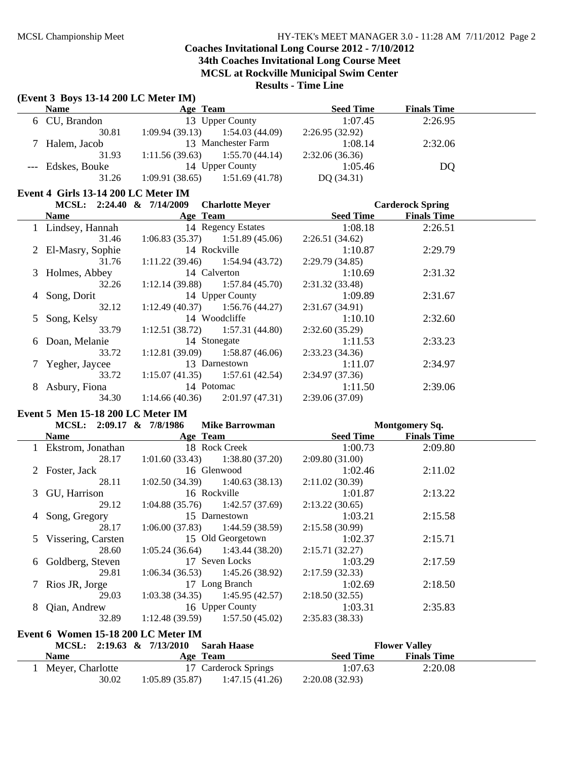## **Coaches Invitational Long Course 2012 - 7/10/2012 34th Coaches Invitational Long Course Meet MCSL at Rockville Municipal Swim Center**

**Results - Time Line**

|               | (Event 3 Boys 13-14 200 LC Meter IM) |                                   |                 |                  |                         |  |
|---------------|--------------------------------------|-----------------------------------|-----------------|------------------|-------------------------|--|
|               | <b>Name</b>                          | Age Team                          |                 | <b>Seed Time</b> | <b>Finals Time</b>      |  |
|               | 6 CU, Brandon                        | 13 Upper County                   |                 | 1:07.45          | 2:26.95                 |  |
|               | 30.81                                | $1:09.94(39.13)$ $1:54.03(44.09)$ |                 | 2:26.95(32.92)   |                         |  |
|               | Halem, Jacob                         | 13 Manchester Farm                |                 | 1:08.14          | 2:32.06                 |  |
|               | 31.93                                | 1:11.56(39.63)                    | 1:55.70(44.14)  | 2:32.06(36.36)   |                         |  |
|               | Edskes, Bouke                        | 14 Upper County                   |                 | 1:05.46          | DQ                      |  |
|               | 31.26                                | $1:09.91(38.65)$ $1:51.69(41.78)$ |                 | DQ(34.31)        |                         |  |
|               | Event 4 Girls 13-14 200 LC Meter IM  |                                   |                 |                  |                         |  |
|               | MCSL: 2:24.40 & 7/14/2009            | <b>Charlotte Meyer</b>            |                 |                  | <b>Carderock Spring</b> |  |
|               | <b>Name</b>                          | Age Team                          |                 | <b>Seed Time</b> | <b>Finals Time</b>      |  |
|               | 1 Lindsey, Hannah                    | 14 Regency Estates                |                 | 1:08.18          | 2:26.51                 |  |
|               | 31.46                                | $1:06.83(35.37)$ $1:51.89(45.06)$ |                 | 2:26.51(34.62)   |                         |  |
|               | 2 El-Masry, Sophie                   | 14 Rockville                      |                 | 1:10.87          | 2:29.79                 |  |
|               | 31.76                                | $1:11.22(39.46)$ $1:54.94(43.72)$ |                 | 2:29.79 (34.85)  |                         |  |
|               | 3 Holmes, Abbey                      | 14 Calverton                      |                 | 1:10.69          | 2:31.32                 |  |
|               | 32.26                                | $1:12.14(39.88)$ $1:57.84(45.70)$ |                 | 2:31.32 (33.48)  |                         |  |
| 4             | Song, Dorit                          | 14 Upper County                   |                 | 1:09.89          | 2:31.67                 |  |
|               | 32.12                                | $1:12.49(40.37)$ $1:56.76(44.27)$ |                 | 2:31.67 (34.91)  |                         |  |
| 5             | Song, Kelsy                          | 14 Woodcliffe                     |                 | 1:10.10          | 2:32.60                 |  |
|               | 33.79                                | $1:12.51(38.72)$ $1:57.31(44.80)$ |                 | 2:32.60(35.29)   |                         |  |
|               | Doan, Melanie                        | 14 Stonegate                      |                 | 1:11.53          | 2:33.23                 |  |
|               | 33.72                                | 1:12.81(39.09)                    | 1:58.87(46.06)  | 2:33.23(34.36)   |                         |  |
| $\mathcal{L}$ | Yegher, Jaycee                       | 13 Darnestown                     |                 | 1:11.07          | 2:34.97                 |  |
|               | 33.72                                | 1:15.07(41.35)                    | 1:57.61(42.54)  | 2:34.97 (37.36)  |                         |  |
|               | 8 Asbury, Fiona                      | 14 Potomac                        |                 | 1:11.50          | 2:39.06                 |  |
|               | 34.30                                | $1:14.66(40.36)$ $2:01.97(47.31)$ |                 | 2:39.06 (37.09)  |                         |  |
|               | Event 5 Men 15-18 200 LC Meter IM    |                                   |                 |                  |                         |  |
|               | MCSL: 2:09.17 & 7/8/1986             | <b>Mike Barrowman</b>             |                 |                  | <b>Montgomery Sq.</b>   |  |
|               | <b>Name</b>                          | Age Team                          |                 | <b>Seed Time</b> | <b>Finals Time</b>      |  |
|               | 1 Ekstrom, Jonathan                  | 18 Rock Creek                     |                 | 1:00.73          | 2:09.80                 |  |
|               | 28.17                                | $1:01.60(33.43)$ $1:38.80(37.20)$ |                 | 2:09.80(31.00)   |                         |  |
|               | 2 Foster, Jack                       | 16 Glenwood                       |                 | 1:02.46          | 2:11.02                 |  |
|               | 28.11                                | $1:02.50(34.39)$ $1:40.63(38.13)$ |                 | 2:11.02(30.39)   |                         |  |
|               | 3 GU, Harrison                       | 16 Rockville                      |                 | 1:01.87          | 2:13.22                 |  |
|               | 29.12                                | $1:04.88(35.76)$ $1:42.57(37.69)$ |                 | 2:13.22(30.65)   |                         |  |
|               | 4 Song, Gregory                      | 15 Darnestown                     |                 | 1:03.21          | 2:15.58                 |  |
|               | 28.17                                | 1:06.00(37.83)                    | 1:44.59(38.59)  | 2:15.58(30.99)   |                         |  |
|               | 5 Vissering, Carsten                 | 15 Old Georgetown                 |                 | 1:02.37          | 2:15.71                 |  |
|               | 28.60                                | 1:05.24(36.64)                    | 1:43.44(38.20)  | 2:15.71(32.27)   |                         |  |
| 6             | Goldberg, Steven                     | 17 Seven Locks                    |                 | 1:03.29          | 2:17.59                 |  |
|               | 29.81                                | 1:06.34(36.53)                    | 1:45.26 (38.92) | 2:17.59 (32.33)  |                         |  |
| 7             | Rios JR, Jorge                       | 17 Long Branch                    |                 | 1:02.69          | 2:18.50                 |  |
|               | 29.03                                | 1:03.38(34.35)                    | 1:45.95(42.57)  | 2:18.50(32.55)   |                         |  |
| 8             | Qian, Andrew                         | 16 Upper County                   |                 | 1:03.31          | 2:35.83                 |  |
|               | 32.89                                | 1:12.48(39.59)                    | 1:57.50(45.02)  | 2:35.83 (38.33)  |                         |  |
|               | Event 6 Women 15-18 200 LC Meter IM  |                                   |                 |                  |                         |  |
|               | MCSL: 2:19.63 & 7/13/2010            | <b>Sarah Haase</b>                |                 |                  | <b>Flower Valley</b>    |  |
|               | <b>Name</b>                          | Age Team                          |                 | <b>Seed Time</b> | <b>Finals Time</b>      |  |
|               | 1 Meyer, Charlotte                   | 17 Carderock Springs              |                 | 1:07.63          | 2:20.08                 |  |

30.02 1:05.89 (35.87) 1:47.15 (41.26) 2:20.08 (32.93)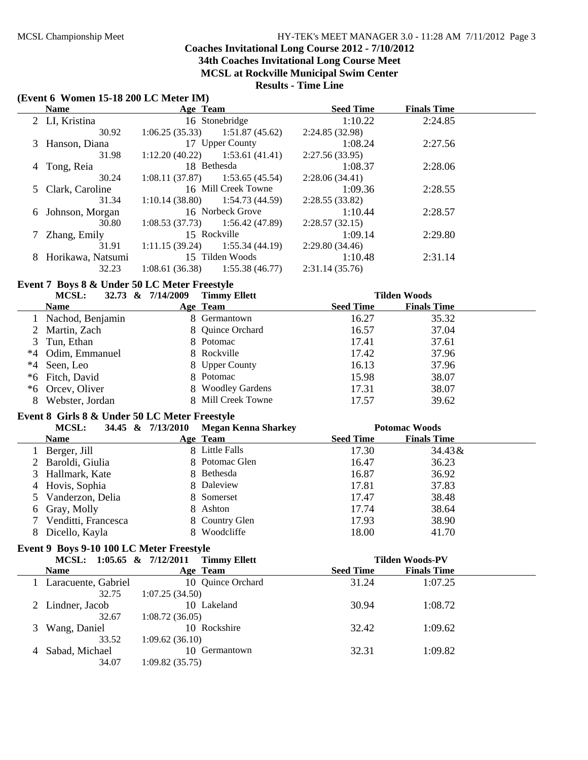## **Coaches Invitational Long Course 2012 - 7/10/2012 34th Coaches Invitational Long Course Meet**

**MCSL at Rockville Municipal Swim Center**

## **Results - Time Line**

| (Event 6 Women 15-18 200 LC Meter IM) |  |  |  |  |  |  |
|---------------------------------------|--|--|--|--|--|--|
|---------------------------------------|--|--|--|--|--|--|

|   | <b>Name</b>       | Age Team       |                                   | <b>Seed Time</b> | <b>Finals Time</b> |  |
|---|-------------------|----------------|-----------------------------------|------------------|--------------------|--|
|   | 2 LI, Kristina    |                | 16 Stonebridge                    | 1:10.22          | 2:24.85            |  |
|   | 30.92             | 1:06.25(35.33) | 1:51.87(45.62)                    | 2:24.85(32.98)   |                    |  |
|   | 3 Hanson, Diana   |                | 17 Upper County                   | 1:08.24          | 2:27.56            |  |
|   | 31.98             | 1:12.20(40.22) | 1:53.61 (41.41)                   | 2:27.56(33.95)   |                    |  |
|   | 4 Tong, Reia      | 18 Bethesda    |                                   | 1:08.37          | 2:28.06            |  |
|   | 30.24             | 1:08.11(37.87) | 1:53.65(45.54)                    | 2:28.06(34.41)   |                    |  |
|   | 5 Clark, Caroline |                | 16 Mill Creek Towne               | 1:09.36          | 2:28.55            |  |
|   | 31.34             | 1:10.14(38.80) | 1:54.73 (44.59)                   | 2:28.55(33.82)   |                    |  |
| 6 | Johnson, Morgan   |                | 16 Norbeck Grove                  | 1:10.44          | 2:28.57            |  |
|   | 30.80             |                | $1:08.53(37.73)$ $1:56.42(47.89)$ | 2:28.57(32.15)   |                    |  |
|   | Zhang, Emily      |                | 15 Rockville                      | 1:09.14          | 2:29.80            |  |
|   | 31.91             | 1:11.15(39.24) | 1:55.34 (44.19)                   | 2:29.80(34.46)   |                    |  |
| 8 | Horikawa, Natsumi |                | 15 Tilden Woods                   | 1:10.48          | 2:31.14            |  |
|   | 32.23             | 1:08.61(36.38) | 1:55.38(46.77)                    | 2:31.14(35.76)   |                    |  |

### **Event 7 Boys 8 & Under 50 LC Meter Freestyle**

|      | <b>MCSL:</b>       | 32.73 & 7/14/2009 | <b>Timmy Ellett</b> |                  | <b>Tilden Woods</b> |  |
|------|--------------------|-------------------|---------------------|------------------|---------------------|--|
|      | <b>Name</b>        |                   | Age Team            | <b>Seed Time</b> | <b>Finals Time</b>  |  |
|      | 1 Nachod, Benjamin |                   | 8 Germantown        | 16.27            | 35.32               |  |
|      | 2 Martin, Zach     |                   | 8 Quince Orchard    | 16.57            | 37.04               |  |
|      | 3 Tun, Ethan       |                   | 8 Potomac           | 17.41            | 37.61               |  |
|      | *4 Odim, Emmanuel  |                   | 8 Rockville         | 17.42            | 37.96               |  |
| $*4$ | Seen, Leo          |                   | 8 Upper County      | 16.13            | 37.96               |  |
|      | *6 Fitch, David    |                   | 8 Potomac           | 15.98            | 38.07               |  |
|      | *6 Orcey, Oliver   |                   | 8 Woodley Gardens   | 17.31            | 38.07               |  |
|      | Webster, Jordan    |                   | 8 Mill Creek Towne  | 17.57            | 39.62               |  |

### **Event 8 Girls 8 & Under 50 LC Meter Freestyle**

|    | <b>MCSL:</b>          | 34.45 & $7/13/2010$ | <b>Megan Kenna Sharkey</b> |                  | <b>Potomac Woods</b> |  |
|----|-----------------------|---------------------|----------------------------|------------------|----------------------|--|
|    | <b>Name</b>           |                     | Age Team                   | <b>Seed Time</b> | <b>Finals Time</b>   |  |
|    | Berger, Jill          |                     | 8 Little Falls             | 17.30            | $34.43 \&$           |  |
|    | 2 Baroldi, Giulia     |                     | 8 Potomac Glen             | 16.47            | 36.23                |  |
|    | 3 Hallmark, Kate      |                     | 8 Bethesda                 | 16.87            | 36.92                |  |
|    | 4 Hovis, Sophia       |                     | 8 Daleview                 | 17.81            | 37.83                |  |
|    | 5 Vanderzon, Delia    |                     | 8 Somerset                 | 17.47            | 38.48                |  |
|    | 6 Gray, Molly         |                     | 8 Ashton                   | 17.74            | 38.64                |  |
|    | 7 Venditti, Francesca |                     | 8 Country Glen             | 17.93            | 38.90                |  |
| 8. | Dicello, Kayla        |                     | 8 Woodcliffe               | 18.00            | 41.70                |  |

### **Event 9 Boys 9-10 100 LC Meter Freestyle**

|   | MCSL: $1:05.65 \& 7/12/2011$ | <b>Timmy Ellett</b> |                  | <b>Tilden Woods-PV</b> |  |
|---|------------------------------|---------------------|------------------|------------------------|--|
|   | <b>Name</b>                  | Age Team            | <b>Seed Time</b> | <b>Finals Time</b>     |  |
|   | Laracuente, Gabriel          | 10 Quince Orchard   | 31.24            | 1:07.25                |  |
|   | 32.75                        | 1:07.25(34.50)      |                  |                        |  |
|   | 2 Lindner, Jacob             | 10 Lakeland         | 30.94            | 1:08.72                |  |
|   | 32.67                        | 1:08.72(36.05)      |                  |                        |  |
|   | 3 Wang, Daniel               | 10 Rockshire        | 32.42            | 1:09.62                |  |
|   | 33.52                        | 1:09.62(36.10)      |                  |                        |  |
| 4 | Sabad, Michael               | 10 Germantown       | 32.31            | 1:09.82                |  |
|   | 34.07                        | 1:09.82(35.75)      |                  |                        |  |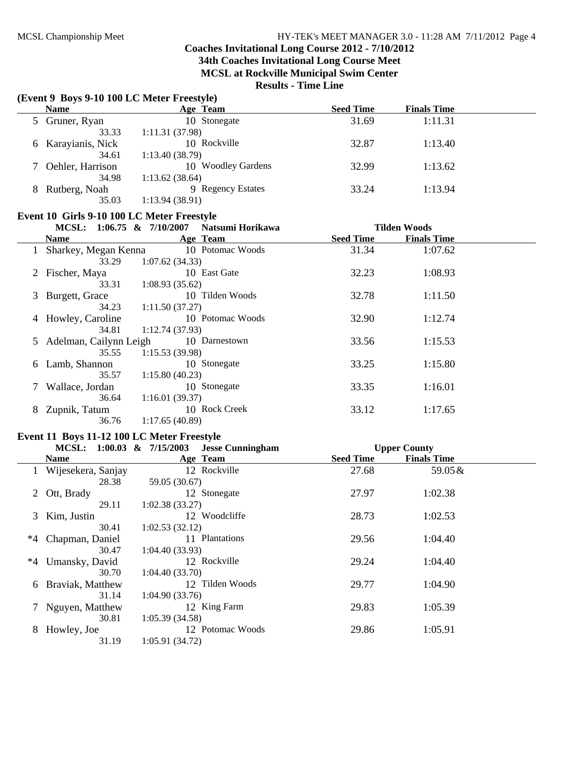## **Coaches Invitational Long Course 2012 - 7/10/2012 34th Coaches Invitational Long Course Meet MCSL at Rockville Municipal Swim Center**

**Results - Time Line**

|               | (Event 9 Boys 9-10 100 LC Meter Freestyle) |                                            |                  |                     |  |
|---------------|--------------------------------------------|--------------------------------------------|------------------|---------------------|--|
|               | <b>Name</b>                                | Age Team                                   | <b>Seed Time</b> | <b>Finals Time</b>  |  |
| 5             | Gruner, Ryan                               | 10 Stonegate                               | 31.69            | 1:11.31             |  |
|               | 33.33                                      | 1:11.31(37.98)                             |                  |                     |  |
|               | Karayianis, Nick                           | 10 Rockville                               | 32.87            | 1:13.40             |  |
|               | 34.61                                      | 1:13.40(38.79)                             |                  |                     |  |
|               | Oehler, Harrison                           | 10 Woodley Gardens                         | 32.99            | 1:13.62             |  |
|               | 34.98                                      | 1:13.62(38.64)                             |                  |                     |  |
|               | Rutberg, Noah                              | 9 Regency Estates                          | 33.24            | 1:13.94             |  |
|               | 35.03                                      | 1:13.94(38.91)                             |                  |                     |  |
|               | Event 10 Girls 9-10 100 LC Meter Freestyle |                                            |                  |                     |  |
|               | MCSL: 1:06.75 & 7/10/2007                  | Natsumi Horikawa                           |                  | <b>Tilden Woods</b> |  |
|               | <b>Name</b>                                | Age Team                                   | <b>Seed Time</b> | <b>Finals Time</b>  |  |
|               | 1 Sharkey, Megan Kenna                     | 10 Potomac Woods                           | 31.34            | 1:07.62             |  |
|               | 33.29                                      | 1:07.62(34.33)                             |                  |                     |  |
|               | Fischer, Maya                              | 10 East Gate                               | 32.23            | 1:08.93             |  |
|               | 33.31                                      | 1:08.93(35.62)                             |                  |                     |  |
| 3             | Burgett, Grace                             | 10 Tilden Woods                            | 32.78            | 1:11.50             |  |
|               | 34.23                                      | 1:11.50(37.27)                             |                  |                     |  |
| 4             | Howley, Caroline                           | 10 Potomac Woods                           | 32.90            | 1:12.74             |  |
|               | 34.81                                      | 1:12.74(37.93)                             |                  |                     |  |
|               | Adelman, Cailynn Leigh                     | 10 Darnestown                              | 33.56            | 1:15.53             |  |
|               | 35.55                                      | 1:15.53(39.98)                             |                  |                     |  |
|               | Lamb, Shannon                              | 10 Stonegate                               | 33.25            | 1:15.80             |  |
| b             | 35.57                                      |                                            |                  |                     |  |
|               |                                            | 1:15.80(40.23)<br>10 Stonegate             | 33.35            | 1:16.01             |  |
| $\mathcal{L}$ | Wallace, Jordan                            |                                            |                  |                     |  |
|               | 36.64                                      | 1:16.01(39.37)                             |                  |                     |  |
|               | 8 Zupnik, Tatum<br>36.76                   | 10 Rock Creek                              | 33.12            | 1:17.65             |  |
|               |                                            | 1:17.65(40.89)                             |                  |                     |  |
|               |                                            | Event 11 Boys 11-12 100 LC Meter Freestyle |                  |                     |  |
|               | MCSL: 1:00.03 & 7/15/2003                  | <b>Jesse Cunningham</b>                    |                  | <b>Upper County</b> |  |
|               | <b>Name</b>                                | Age Team                                   | <b>Seed Time</b> | <b>Finals Time</b>  |  |
|               | 1 Wijesekera, Sanjay                       | 12 Rockville                               | 27.68            | 59.05 &             |  |
|               | 28.38                                      | 59.05 (30.67)                              |                  |                     |  |
|               | Ott, Brady                                 | 12 Stonegate                               | 27.97            | 1:02.38             |  |
|               | 29.11                                      | 1:02.38(33.27)                             |                  |                     |  |
| 3             | Kim, Justin                                | 12 Woodcliffe                              | 28.73            | 1:02.53             |  |
|               | 30.41                                      | 1:02.53(32.12)                             |                  |                     |  |
|               | *4 Chapman, Daniel                         | 11 Plantations                             | 29.56            | 1:04.40             |  |
|               | 30.47                                      | 1:04.40(33.93)                             |                  |                     |  |
| $*4$          | Umansky, David                             | 12 Rockville                               | 29.24            | 1:04.40             |  |
|               | 30.70                                      | 1:04.40(33.70)                             |                  |                     |  |
| 6             | Braviak, Matthew                           | 12 Tilden Woods                            | 29.77            | 1:04.90             |  |
|               | 31.14                                      | 1:04.90(33.76)                             |                  |                     |  |
| 7             | Nguyen, Matthew                            | 12 King Farm                               | 29.83            | 1:05.39             |  |
|               | 30.81                                      | 1:05.39(34.58)                             |                  |                     |  |
| 8             | Howley, Joe                                | 12 Potomac Woods                           | 29.86            | 1:05.91             |  |
|               | 31.19                                      | 1:05.91 (34.72)                            |                  |                     |  |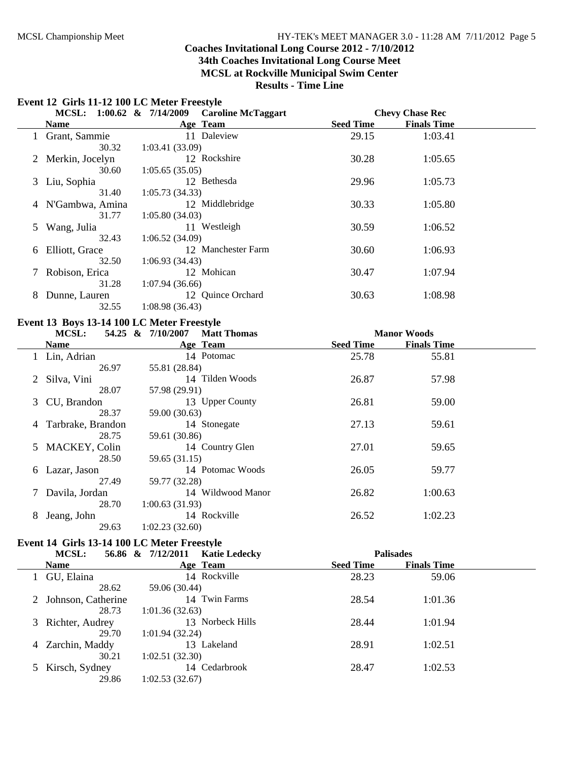### **Coaches Invitational Long Course 2012 - 7/10/2012 34th Coaches Invitational Long Course Meet**

**MCSL at Rockville Municipal Swim Center**

**Results - Time Line**

|  |  | Event 12 Girls 11-12 100 LC Meter Freestyle |  |
|--|--|---------------------------------------------|--|
|--|--|---------------------------------------------|--|

|          | <b>MCSL:</b>      | 1:00.62 & $7/14/2009$<br><b>Caroline McTaggart</b> |                  | <b>Chevy Chase Rec</b> |  |
|----------|-------------------|----------------------------------------------------|------------------|------------------------|--|
|          | <b>Name</b>       | Age Team                                           | <b>Seed Time</b> | <b>Finals Time</b>     |  |
| $\bf{l}$ | Grant, Sammie     | 11 Daleview                                        | 29.15            | 1:03.41                |  |
|          | 30.32             | 1:03.41(33.09)                                     |                  |                        |  |
|          | 2 Merkin, Jocelyn | 12 Rockshire                                       | 30.28            | 1:05.65                |  |
|          | 30.60             | 1:05.65(35.05)                                     |                  |                        |  |
|          | 3 Liu, Sophia     | 12 Bethesda                                        | 29.96            | 1:05.73                |  |
|          | 31.40             | 1:05.73(34.33)                                     |                  |                        |  |
| 4        | N'Gambwa, Amina   | 12 Middlebridge                                    | 30.33            | 1:05.80                |  |
|          | 31.77             | 1:05.80(34.03)                                     |                  |                        |  |
| 5.       | Wang, Julia       | 11 Westleigh                                       | 30.59            | 1:06.52                |  |
|          | 32.43             | 1:06.52(34.09)                                     |                  |                        |  |
| 6        | Elliott, Grace    | 12 Manchester Farm                                 | 30.60            | 1:06.93                |  |
|          | 32.50             | 1:06.93(34.43)                                     |                  |                        |  |
|          | Robison, Erica    | 12 Mohican                                         | 30.47            | 1:07.94                |  |
|          | 31.28             | 1:07.94(36.66)                                     |                  |                        |  |
| 8        | Dunne, Lauren     | 12 Quince Orchard                                  | 30.63            | 1:08.98                |  |
|          | 32.55             | 1:08.98(36.43)                                     |                  |                        |  |

## **Event 13 Boys 13-14 100 LC Meter Freestyle**

|   | MCSL:             | 54.25 & 7/10/2007<br><b>Matt Thomas</b> |                  | <b>Manor Woods</b> |  |
|---|-------------------|-----------------------------------------|------------------|--------------------|--|
|   | <b>Name</b>       | Age Team                                | <b>Seed Time</b> | <b>Finals Time</b> |  |
|   | Lin, Adrian       | 14 Potomac                              | 25.78            | 55.81              |  |
|   | 26.97             | 55.81 (28.84)                           |                  |                    |  |
| 2 | Silva, Vini       | 14 Tilden Woods                         | 26.87            | 57.98              |  |
|   | 28.07             | 57.98 (29.91)                           |                  |                    |  |
|   | 3 CU, Brandon     | 13 Upper County                         | 26.81            | 59.00              |  |
|   | 28.37             | 59.00 (30.63)                           |                  |                    |  |
| 4 | Tarbrake, Brandon | 14 Stonegate                            | 27.13            | 59.61              |  |
|   | 28.75             | 59.61 (30.86)                           |                  |                    |  |
|   | 5 MACKEY, Colin   | 14 Country Glen                         | 27.01            | 59.65              |  |
|   | 28.50             | 59.65 (31.15)                           |                  |                    |  |
| 6 | Lazar, Jason      | 14 Potomac Woods                        | 26.05            | 59.77              |  |
|   | 27.49             | 59.77 (32.28)                           |                  |                    |  |
|   | Davila, Jordan    | 14 Wildwood Manor                       | 26.82            | 1:00.63            |  |
|   | 28.70             | 1:00.63(31.93)                          |                  |                    |  |
| 8 | Jeang, John       | 14 Rockville                            | 26.52            | 1:02.23            |  |
|   | 29.63             | 1:02.23(32.60)                          |                  |                    |  |

### **Event 14 Girls 13-14 100 LC Meter Freestyle**

| <b>MCSL:</b>         | 56.86 & 7/12/2011 | <b>Katie Ledecky</b> |                  | <b>Palisades</b>   |  |
|----------------------|-------------------|----------------------|------------------|--------------------|--|
| <b>Name</b>          |                   | Age Team             | <b>Seed Time</b> | <b>Finals Time</b> |  |
| GU, Elaina           |                   | 14 Rockville         | 28.23            | 59.06              |  |
| 28.62                | 59.06 (30.44)     |                      |                  |                    |  |
| 2 Johnson, Catherine |                   | 14 Twin Farms        | 28.54            | 1:01.36            |  |
| 28.73                | 1:01.36(32.63)    |                      |                  |                    |  |
| 3 Richter, Audrey    |                   | 13 Norbeck Hills     | 28.44            | 1:01.94            |  |
| 29.70                | 1:01.94(32.24)    |                      |                  |                    |  |
| 4 Zarchin, Maddy     |                   | 13 Lakeland          | 28.91            | 1:02.51            |  |
| 30.21                | 1:02.51(32.30)    |                      |                  |                    |  |
| 5 Kirsch, Sydney     |                   | 14 Cedarbrook        | 28.47            | 1:02.53            |  |
| 29.86                | 1:02.53(32.67)    |                      |                  |                    |  |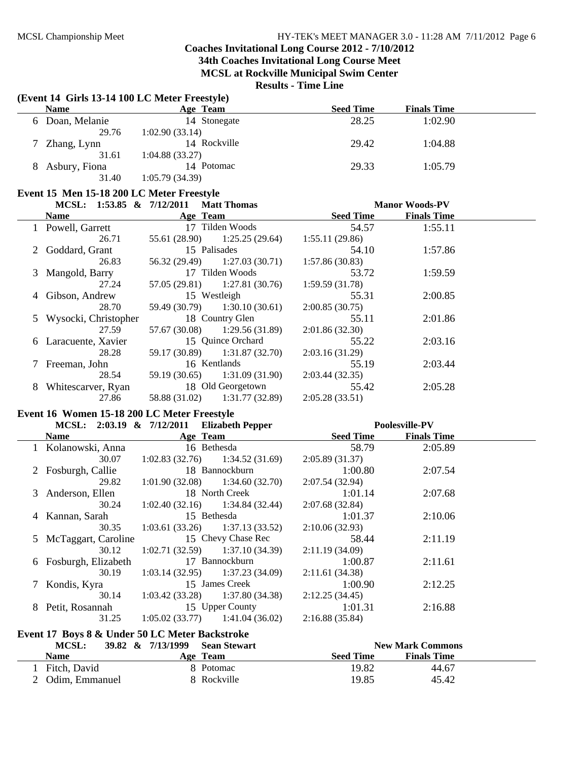## **Coaches Invitational Long Course 2012 - 7/10/2012 34th Coaches Invitational Long Course Meet MCSL at Rockville Municipal Swim Center**

**Results - Time Line**

|   |                                           | (Event 14 Girls 13-14 100 LC Meter Freestyle) |                 |                  |                       |  |  |  |  |
|---|-------------------------------------------|-----------------------------------------------|-----------------|------------------|-----------------------|--|--|--|--|
|   | <b>Name</b>                               | Age Team                                      |                 | <b>Seed Time</b> | <b>Finals Time</b>    |  |  |  |  |
|   | 6 Doan, Melanie                           | 14 Stonegate                                  |                 | 28.25            | 1:02.90               |  |  |  |  |
|   | 29.76                                     | 1:02.90(33.14)                                |                 |                  |                       |  |  |  |  |
| 7 | Zhang, Lynn                               | 14 Rockville                                  |                 | 29.42            | 1:04.88               |  |  |  |  |
|   | 31.61                                     | 1:04.88(33.27)                                |                 |                  |                       |  |  |  |  |
|   | 8 Asbury, Fiona                           | 14 Potomac                                    |                 | 29.33            | 1:05.79               |  |  |  |  |
|   | 31.40                                     | 1:05.79(34.39)                                |                 |                  |                       |  |  |  |  |
|   | Event 15 Men 15-18 200 LC Meter Freestyle |                                               |                 |                  |                       |  |  |  |  |
|   |                                           | MCSL: 1:53.85 & 7/12/2011 Matt Thomas         |                 |                  | <b>Manor Woods-PV</b> |  |  |  |  |
|   | <b>Name</b>                               | Age Team                                      |                 | <b>Seed Time</b> | <b>Finals Time</b>    |  |  |  |  |
|   | 1 Powell, Garrett                         | 17 Tilden Woods                               |                 | 54.57            | 1:55.11               |  |  |  |  |
|   | 26.71                                     | 55.61 (28.90) 1:25.25 (29.64)                 |                 | 1:55.11(29.86)   |                       |  |  |  |  |
| 2 | Goddard, Grant                            | 15 Palisades                                  |                 | 54.10            | 1:57.86               |  |  |  |  |
|   | 26.83                                     | 56.32 (29.49)                                 | 1:27.03(30.71)  | 1:57.86(30.83)   |                       |  |  |  |  |
| 3 | Mangold, Barry                            | 17 Tilden Woods                               |                 | 53.72            | 1:59.59               |  |  |  |  |
|   | 27.24                                     | $57.05(29.81)$ $1:27.81(30.76)$               |                 | 1:59.59(31.78)   |                       |  |  |  |  |
| 4 | Gibson, Andrew                            | 15 Westleigh                                  |                 | 55.31            | 2:00.85               |  |  |  |  |
|   | 28.70                                     | 59.49 (30.79)<br>1:30.10(30.61)               |                 | 2:00.85(30.75)   |                       |  |  |  |  |
|   | Wysocki, Christopher                      | 18 Country Glen                               |                 | 55.11            | 2:01.86               |  |  |  |  |
|   | 27.59                                     | 57.67 (30.08)<br>1:29.56(31.89)               |                 | 2:01.86 (32.30)  |                       |  |  |  |  |
|   | 6 Laracuente, Xavier                      | 15 Quince Orchard                             |                 | 55.22            | 2:03.16               |  |  |  |  |
|   | 28.28                                     | 59.17 (30.89) 1:31.87 (32.70)                 |                 | 2:03.16(31.29)   |                       |  |  |  |  |
|   | 7 Freeman, John                           | 16 Kentlands                                  |                 | 55.19            | 2:03.44               |  |  |  |  |
|   | 28.54                                     | 59.19 (30.65)<br>1:31.09 (31.90)              |                 | 2:03.44(32.35)   |                       |  |  |  |  |
|   | 8 Whitescarver, Ryan                      | 18 Old Georgetown                             |                 | 55.42            | 2:05.28               |  |  |  |  |
|   | 27.86                                     | 58.88 (31.02)<br>1:31.77(32.89)               |                 | 2:05.28(33.51)   |                       |  |  |  |  |
|   |                                           | Event 16 Women 15-18 200 LC Meter Freestyle   |                 |                  |                       |  |  |  |  |
|   |                                           | MCSL: 2:03.19 & 7/12/2011 Elizabeth Pepper    |                 |                  | Poolesville-PV        |  |  |  |  |
|   | <b>Name</b>                               | Age Team                                      |                 | <b>Seed Time</b> | <b>Finals Time</b>    |  |  |  |  |
|   | 1 Kolanowski, Anna                        | 16 Bethesda                                   |                 | 58.79            | 2:05.89               |  |  |  |  |
|   | 30.07                                     | $1:02.83(32.76)$ $1:34.52(31.69)$             |                 | 2:05.89(31.37)   |                       |  |  |  |  |
|   | 2 Fosburgh, Callie                        | 18 Bannockburn                                |                 | 1:00.80          | 2:07.54               |  |  |  |  |
|   | 29.82                                     | $1:01.90(32.08)$ $1:34.60(32.70)$             |                 | 2:07.54(32.94)   |                       |  |  |  |  |
| 3 | Anderson, Ellen                           | 18 North Creek                                |                 | 1:01.14          | 2:07.68               |  |  |  |  |
|   | 30.24                                     | 1:02.40(32.16)                                | 1:34.84 (32.44) | 2:07.68(32.84)   |                       |  |  |  |  |

## **Event 17 Boys 8 & Under 50 LC Meter Backstroke**

| MCSL:            | 39.82 & 7/13/1999 | <b>Sean Stewart</b> |                  | <b>New Mark Commons</b> |  |
|------------------|-------------------|---------------------|------------------|-------------------------|--|
| Name             |                   | Age Team            | <b>Seed Time</b> | <b>Finals Time</b>      |  |
| Fitch, David     |                   | 8 Potomac           | 19.82            | 44.67                   |  |
| 2 Odim. Emmanuel |                   | 8 Rockville         | 19.85            | 45.42                   |  |

4 Kannan, Sarah 2:10.06 15 Bethesda 1:01.37 30.35 1:03.61 (33.26) 1:37.13 (33.52) 2:10.06 (32.93) 5 McTaggart, Caroline 15 Chevy Chase Rec 58.44 2:11.19 30.12 1:02.71 (32.59) 1:37.10 (34.39) 2:11.19 (34.09) 6 Fosburgh, Elizabeth 2:11.61 17 Bannockburn 1:00.87 30.19 1:03.14 (32.95) 1:37.23 (34.09) 2:11.61 (34.38) 7 Kondis, Kyra 15 James Creek 1:00.90 2:12.25 30.14 1:03.42 (33.28) 1:37.80 (34.38) 2:12.25 (34.45) 8 Petit, Rosannah 15 Upper County 1:01.31 2:16.88 31.25 1:05.02 (33.77) 1:41.04 (36.02) 2:16.88 (35.84)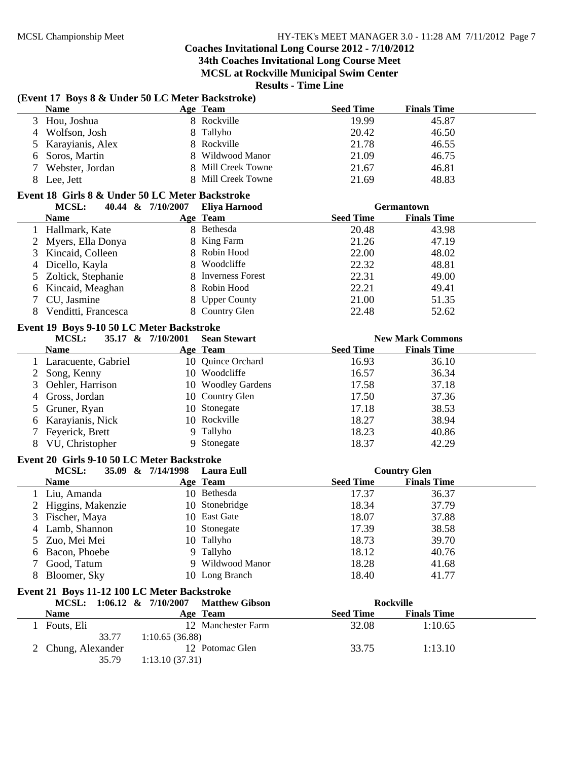## **Coaches Invitational Long Course 2012 - 7/10/2012 34th Coaches Invitational Long Course Meet**

**MCSL at Rockville Municipal Swim Center**

|              | (Event 17 Boys 8 & Under 50 LC Meter Backstroke) |                |                         |                  |                         |  |
|--------------|--------------------------------------------------|----------------|-------------------------|------------------|-------------------------|--|
|              | <b>Name</b>                                      |                | Age Team                | <b>Seed Time</b> | <b>Finals Time</b>      |  |
|              | 3 Hou, Joshua                                    |                | 8 Rockville             | 19.99            | 45.87                   |  |
| 4            | Wolfson, Josh                                    | 8              | Tallyho                 | 20.42            | 46.50                   |  |
| 5            | Karayianis, Alex                                 | 8              | Rockville               | 21.78            | 46.55                   |  |
| 6            | Soros, Martin                                    | 8              | Wildwood Manor          | 21.09            | 46.75                   |  |
| 7            | Webster, Jordan                                  | 8              | Mill Creek Towne        | 21.67            | 46.81                   |  |
| 8            | Lee, Jett                                        |                | 8 Mill Creek Towne      | 21.69            | 48.83                   |  |
|              | Event 18 Girls 8 & Under 50 LC Meter Backstroke  |                |                         |                  |                         |  |
|              | MCSL:<br>40.44 & 7/10/2007                       |                | <b>Eliya Harnood</b>    |                  | Germantown              |  |
|              | <b>Name</b>                                      |                | Age Team                | <b>Seed Time</b> | <b>Finals Time</b>      |  |
| 1            | Hallmark, Kate                                   |                | 8 Bethesda              | 20.48            | 43.98                   |  |
| 2            | Myers, Ella Donya                                | 8              | King Farm               | 21.26            | 47.19                   |  |
| 3            | Kincaid, Colleen                                 | 8              | Robin Hood              | 22.00            | 48.02                   |  |
| 4            | Dicello, Kayla                                   | 8              | Woodcliffe              | 22.32            | 48.81                   |  |
|              | Zoltick, Stephanie                               | 8              | <b>Inverness Forest</b> | 22.31            | 49.00                   |  |
| 5<br>6       | Kincaid, Meaghan                                 | 8              | Robin Hood              | 22.21            | 49.41                   |  |
| 7            | CU, Jasmine                                      | 8              | <b>Upper County</b>     | 21.00            | 51.35                   |  |
|              |                                                  | 8              | Country Glen            | 22.48            | 52.62                   |  |
| 8            | Venditti, Francesca                              |                |                         |                  |                         |  |
|              | Event 19 Boys 9-10 50 LC Meter Backstroke        |                |                         |                  |                         |  |
|              | MCSL:<br>35.17 & 7/10/2001                       |                | <b>Sean Stewart</b>     |                  | <b>New Mark Commons</b> |  |
|              | <b>Name</b>                                      |                | Age Team                | <b>Seed Time</b> | <b>Finals Time</b>      |  |
|              | 1 Laracuente, Gabriel                            |                | 10 Quince Orchard       | 16.93            | 36.10                   |  |
| 2            | Song, Kenny                                      |                | 10 Woodcliffe           | 16.57            | 36.34                   |  |
| 3            | Oehler, Harrison                                 |                | 10 Woodley Gardens      | 17.58            | 37.18                   |  |
| 4            | Gross, Jordan                                    |                | 10 Country Glen         | 17.50            | 37.36                   |  |
| 5            | Gruner, Ryan                                     | 10             | Stonegate               | 17.18            | 38.53                   |  |
| 6            | Karayianis, Nick                                 | 10             | Rockville               | 18.27            | 38.94                   |  |
| 7            | Feyerick, Brett                                  | 9              | Tallyho                 | 18.23            | 40.86                   |  |
| 8            | VU, Christopher                                  |                | 9 Stonegate             | 18.37            | 42.29                   |  |
|              | Event 20 Girls 9-10 50 LC Meter Backstroke       |                |                         |                  |                         |  |
|              | MCSL:<br>35.09 & 7/14/1998                       |                | Laura Eull              |                  | <b>Country Glen</b>     |  |
|              | <b>Name</b>                                      |                | Age Team                | <b>Seed Time</b> | <b>Finals Time</b>      |  |
| 1            | Liu, Amanda                                      |                | 10 Bethesda             | 17.37            | 36.37                   |  |
| 2            | Higgins, Makenzie                                |                | 10 Stonebridge          | 18.34            | 37.79                   |  |
| 3            | Fischer, Maya                                    |                | 10 East Gate            | 18.07            | 37.88                   |  |
| 4            | Lamb, Shannon                                    |                | 10 Stonegate            | 17.39            | 38.58                   |  |
| 5.           | Zuo, Mei Mei                                     |                | 10 Tallyho              | 18.73            | 39.70                   |  |
| 6            | Bacon, Phoebe                                    |                | 9 Tallyho               | 18.12            | 40.76                   |  |
| 7            | Good, Tatum                                      |                | 9 Wildwood Manor        | 18.28            | 41.68                   |  |
| 8            | Bloomer, Sky                                     |                | 10 Long Branch          | 18.40            | 41.77                   |  |
|              |                                                  |                |                         |                  |                         |  |
|              | Event 21 Boys 11-12 100 LC Meter Backstroke      |                |                         |                  |                         |  |
|              | MCSL: 1:06.12 & 7/10/2007                        |                | <b>Matthew Gibson</b>   |                  | <b>Rockville</b>        |  |
|              | <b>Name</b>                                      |                | Age Team                | <b>Seed Time</b> | <b>Finals Time</b>      |  |
|              | Fouts, Eli                                       |                | 12 Manchester Farm      | 32.08            | 1:10.65                 |  |
|              | 33.77                                            | 1:10.65(36.88) |                         |                  |                         |  |
| $\mathbf{2}$ | Chung, Alexander                                 |                | 12 Potomac Glen         | 33.75            | 1:13.10                 |  |
|              | 35.79                                            | 1:13.10(37.31) |                         |                  |                         |  |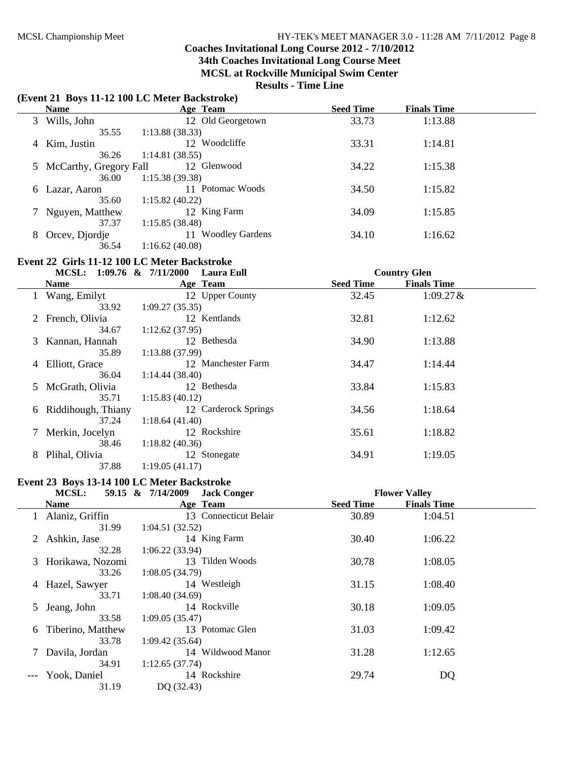## **Coaches Invitational Long Course 2012 - 7/10/2012 34th Coaches Invitational Long Course Meet**

**MCSL at Rockville Municipal Swim Center**

|               |                            | Results - Thing Phile<br>(Event 21 Boys 11-12 100 LC Meter Backstroke) |                  |                                            |  |
|---------------|----------------------------|------------------------------------------------------------------------|------------------|--------------------------------------------|--|
|               | <b>Name</b>                | Age Team                                                               | <b>Seed Time</b> | <b>Finals Time</b>                         |  |
|               | 3 Wills, John              | 12 Old Georgetown                                                      | 33.73            | 1:13.88                                    |  |
|               | 35.55                      | 1:13.88(38.33)                                                         |                  |                                            |  |
| 4             | Kim, Justin                | 12 Woodcliffe                                                          | 33.31            | 1:14.81                                    |  |
|               | 36.26                      | 1:14.81(38.55)                                                         |                  |                                            |  |
| 5             | McCarthy, Gregory Fall     | 12 Glenwood                                                            | 34.22            | 1:15.38                                    |  |
|               | 36.00                      | 1:15.38 (39.38)                                                        |                  |                                            |  |
| 6             | Lazar, Aaron               | 11 Potomac Woods                                                       | 34.50            | 1:15.82                                    |  |
|               | 35.60                      | 1:15.82(40.22)                                                         |                  |                                            |  |
|               | Nguyen, Matthew            | 12 King Farm                                                           | 34.09            | 1:15.85                                    |  |
|               | 37.37                      | 1:15.85(38.48)                                                         |                  |                                            |  |
| 8             | Orcev, Djordje             | 11 Woodley Gardens                                                     | 34.10            | 1:16.62                                    |  |
|               | 36.54                      | 1:16.62(40.08)                                                         |                  |                                            |  |
|               |                            | Event 22 Girls 11-12 100 LC Meter Backstroke                           |                  |                                            |  |
|               | MCSL: 1:09.76 & 7/11/2000  | <b>Laura Eull</b>                                                      |                  | <b>Country Glen</b>                        |  |
|               | <b>Name</b>                | Age Team                                                               | <b>Seed Time</b> | <b>Finals Time</b>                         |  |
|               | 1 Wang, Emilyt             | 12 Upper County                                                        | 32.45            | $1:09.27 \&$                               |  |
|               | 33.92                      | 1:09.27(35.35)                                                         |                  |                                            |  |
| 2             | French, Olivia             | 12 Kentlands                                                           | 32.81            | 1:12.62                                    |  |
|               | 34.67                      | 1:12.62(37.95)                                                         |                  |                                            |  |
| 3             | Kannan, Hannah             | 12 Bethesda                                                            | 34.90            | 1:13.88                                    |  |
|               | 35.89                      | 1:13.88 (37.99)                                                        |                  |                                            |  |
| 4             | Elliott, Grace             | 12 Manchester Farm                                                     | 34.47            | 1:14.44                                    |  |
|               | 36.04                      | 1:14.44(38.40)                                                         |                  |                                            |  |
| 5             | McGrath, Olivia            | 12 Bethesda                                                            | 33.84            | 1:15.83                                    |  |
|               | 35.71                      | 1:15.83(40.12)                                                         |                  |                                            |  |
| 6             | Riddihough, Thiany         | 12 Carderock Springs                                                   | 34.56            | 1:18.64                                    |  |
|               | 37.24                      | 1:18.64(41.40)                                                         |                  |                                            |  |
| $\mathcal{L}$ | Merkin, Jocelyn            | 12 Rockshire                                                           | 35.61            | 1:18.82                                    |  |
|               | 38.46                      | 1:18.82(40.36)                                                         |                  |                                            |  |
|               | 8 Plihal, Olivia           | 12 Stonegate                                                           | 34.91            | 1:19.05                                    |  |
|               | 37.88                      | 1:19.05(41.17)                                                         |                  |                                            |  |
|               |                            |                                                                        |                  |                                            |  |
|               |                            | Event 23 Boys 13-14 100 LC Meter Backstroke                            |                  |                                            |  |
|               | MCSL:<br><b>Name</b>       | 59.15 & 7/14/2009<br><b>Jack Conger</b><br>Age Team                    | <b>Seed Time</b> | <b>Flower Valley</b><br><b>Finals Time</b> |  |
|               |                            |                                                                        |                  |                                            |  |
|               | 1 Alaniz, Griffin          | 13 Connecticut Belair                                                  | 30.89            | 1:04.51                                    |  |
|               | 31.99                      | 1:04.51(32.52)                                                         |                  |                                            |  |
|               | Ashkin, Jase<br>32.28      | 14 King Farm                                                           | 30.40            | 1:06.22                                    |  |
|               |                            | 1:06.22(33.94)<br>13 Tilden Woods                                      |                  |                                            |  |
|               | Horikawa, Nozomi<br>33.26  |                                                                        | 30.78            | 1:08.05                                    |  |
|               |                            | 1:08.05(34.79)<br>14 Westleigh                                         |                  | 1:08.40                                    |  |
|               | Hazel, Sawyer<br>33.71     | 1:08.40(34.69)                                                         | 31.15            |                                            |  |
|               |                            | 14 Rockville                                                           |                  |                                            |  |
| 5             | Jeang, John<br>33.58       |                                                                        | 30.18            | 1:09.05                                    |  |
|               |                            | 1:09.05(35.47)<br>13 Potomac Glen                                      |                  |                                            |  |
| b             | Tiberino, Matthew<br>33.78 |                                                                        | 31.03            | 1:09.42                                    |  |
|               |                            | 1:09.42(35.64)<br>14 Wildwood Manor                                    | 31.28            | 1:12.65                                    |  |
|               | Davila, Jordan<br>34.91    | 1:12.65(37.74)                                                         |                  |                                            |  |
|               | Yook, Daniel               | 14 Rockshire                                                           | 29.74            | DQ                                         |  |
|               | 31.19                      | DQ (32.43)                                                             |                  |                                            |  |
|               |                            |                                                                        |                  |                                            |  |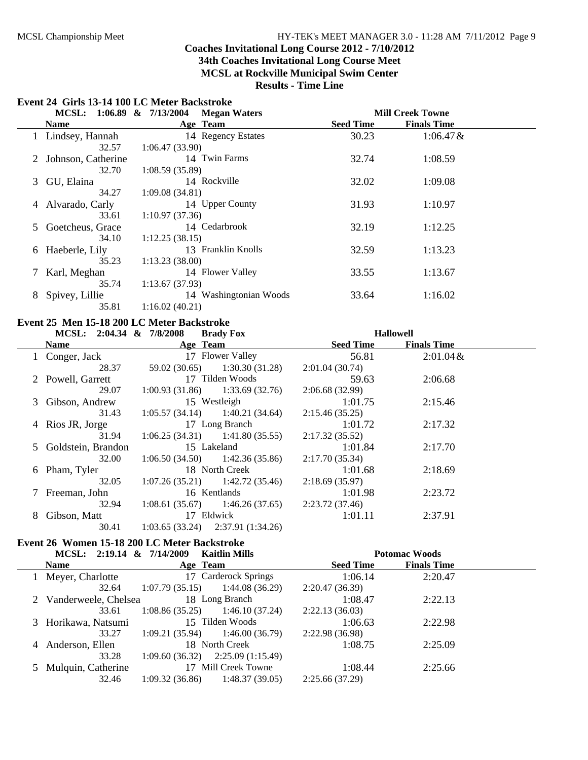### **Coaches Invitational Long Course 2012 - 7/10/2012 34th Coaches Invitational Long Course Meet**

**MCSL at Rockville Municipal Swim Center**

**Results - Time Line**

|   | Event 24 Girls 13-14 100 LC Meter Backstroke |                                        |                        |                         |                    |  |  |
|---|----------------------------------------------|----------------------------------------|------------------------|-------------------------|--------------------|--|--|
|   |                                              | MCSL: 1:06.89 & 7/13/2004 Megan Waters |                        | <b>Mill Creek Towne</b> |                    |  |  |
|   | <b>Name</b>                                  | Age Team                               | <b>Seed Time</b>       |                         | <b>Finals Time</b> |  |  |
|   | 1 Lindsey, Hannah                            | 14 Regency Estates                     |                        | 30.23                   | $1:06.47 \&$       |  |  |
|   | 32.57                                        | 1:06.47(33.90)                         |                        |                         |                    |  |  |
|   | 2 Johnson, Catherine                         | 14 Twin Farms                          |                        | 32.74                   | 1:08.59            |  |  |
|   | 32.70                                        | 1:08.59(35.89)                         |                        |                         |                    |  |  |
|   | 3 GU, Elaina                                 | 14 Rockville                           |                        | 32.02                   | 1:09.08            |  |  |
|   | 34.27                                        | 1:09.08(34.81)                         |                        |                         |                    |  |  |
|   | 4 Alvarado, Carly                            | 14 Upper County                        |                        | 31.93                   | 1:10.97            |  |  |
|   | 33.61                                        | 1:10.97(37.36)                         |                        |                         |                    |  |  |
|   | 5 Goetcheus, Grace                           | 14 Cedarbrook                          |                        | 32.19                   | 1:12.25            |  |  |
|   | 34.10                                        | 1:12.25(38.15)                         |                        |                         |                    |  |  |
| 6 | Haeberle, Lily                               | 13 Franklin Knolls                     |                        | 32.59                   | 1:13.23            |  |  |
|   | 35.23                                        | 1:13.23(38.00)                         |                        |                         |                    |  |  |
|   | 7 Karl, Meghan                               | 14 Flower Valley                       |                        | 33.55                   | 1:13.67            |  |  |
|   | 35.74                                        | 1:13.67(37.93)                         |                        |                         |                    |  |  |
| 8 | Spivey, Lillie                               |                                        | 14 Washingtonian Woods | 33.64                   | 1:16.02            |  |  |
|   | 35.81                                        | 1:16.02(40.21)                         |                        |                         |                    |  |  |

### **Event 25 Men 15-18 200 LC Meter Backstroke**

|   | MCSL: $2:04.34 \& 7/8/2008$ |                                     | <b>Brady Fox</b>                  |                  | <b>Hallowell</b>   |  |
|---|-----------------------------|-------------------------------------|-----------------------------------|------------------|--------------------|--|
|   | <b>Name</b>                 | Age Team                            |                                   | <b>Seed Time</b> | <b>Finals Time</b> |  |
|   | 1 Conger, Jack              | 17 Flower Valley                    |                                   | 56.81            | $2:01.04 \&$       |  |
|   | 28.37                       |                                     | $59.02(30.65)$ $1:30.30(31.28)$   | 2:01.04(30.74)   |                    |  |
|   | 2 Powell, Garrett           |                                     | 17 Tilden Woods                   | 59.63            | 2:06.68            |  |
|   | 29.07                       |                                     | $1:00.93(31.86)$ $1:33.69(32.76)$ | 2:06.68(32.99)   |                    |  |
|   | 3 Gibson, Andrew            |                                     | 15 Westleigh                      | 1:01.75          | 2:15.46            |  |
|   | 31.43                       |                                     | $1:05.57(34.14)$ $1:40.21(34.64)$ | 2:15.46(35.25)   |                    |  |
|   | 4 Rios JR, Jorge            |                                     | 17 Long Branch                    | 1:01.72          | 2:17.32            |  |
|   | 31.94                       |                                     | $1:06.25(34.31)$ $1:41.80(35.55)$ | 2:17.32(35.52)   |                    |  |
|   | 5 Goldstein, Brandon        | 15 Lakeland                         |                                   | 1:01.84          | 2:17.70            |  |
|   | 32.00                       |                                     | $1:06.50(34.50)$ $1:42.36(35.86)$ | 2:17.70(35.34)   |                    |  |
|   | 6 Pham, Tyler               |                                     | 18 North Creek                    | 1:01.68          | 2:18.69            |  |
|   | 32.05                       |                                     | $1:07.26(35.21)$ $1:42.72(35.46)$ | 2:18.69(35.97)   |                    |  |
|   | 7 Freeman, John             |                                     | 16 Kentlands                      | 1:01.98          | 2:23.72            |  |
|   | 32.94                       |                                     | $1:08.61(35.67)$ $1:46.26(37.65)$ | 2:23.72(37.46)   |                    |  |
| 8 | Gibson, Matt                | 17 Eldwick                          |                                   | 1:01.11          | 2:37.91            |  |
|   | 30.41                       | $1:03.65(33.24)$ $2:37.91(1:34.26)$ |                                   |                  |                    |  |

#### **Event 26 Women 15-18 200 LC Meter Backstroke MCSL: 2:19.14 & 7/14/2009 Potomac Woods Kaitlin Mills**

|   | MCSL: $\angle 2.19.14 \& 1/14/2009$ |                | Kaitiin mills                       |                  | Potomac woods      |  |
|---|-------------------------------------|----------------|-------------------------------------|------------------|--------------------|--|
|   | <b>Name</b>                         | Age Team       |                                     | <b>Seed Time</b> | <b>Finals Time</b> |  |
|   | Meyer, Charlotte                    |                | 17 Carderock Springs                | 1:06.14          | 2:20.47            |  |
|   | 32.64                               | 1:07.79(35.15) | 1:44.08 (36.29)                     | 2:20.47(36.39)   |                    |  |
|   | 2 Vanderweele, Chelsea              |                | 18 Long Branch                      | 1:08.47          | 2:22.13            |  |
|   | 33.61                               | 1:08.86(35.25) | 1:46.10 (37.24)                     | 2:22.13(36.03)   |                    |  |
|   | 3 Horikawa, Natsumi                 |                | 15 Tilden Woods                     | 1:06.63          | 2:22.98            |  |
|   | 33.27                               | 1:09.21(35.94) | 1:46.00(36.79)                      | 2:22.98(36.98)   |                    |  |
| 4 | Anderson, Ellen                     |                | 18 North Creek                      | 1:08.75          | 2:25.09            |  |
|   | 33.28                               |                | $1:09.60(36.32)$ $2:25.09(1:15.49)$ |                  |                    |  |
|   | 5 Mulquin, Catherine                |                | 17 Mill Creek Towne                 | 1:08.44          | 2:25.66            |  |
|   | 32.46                               | 1:09.32(36.86) | 1:48.37(39.05)                      | 2:25.66(37.29)   |                    |  |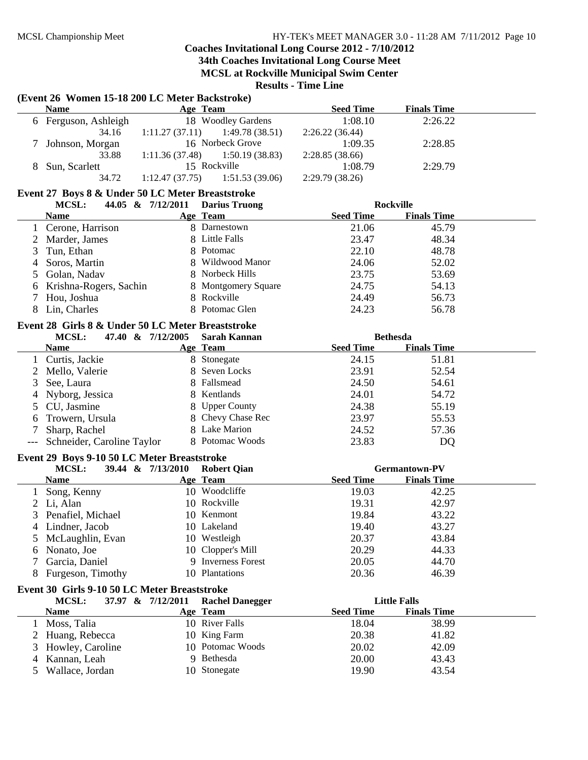## **Coaches Invitational Long Course 2012 - 7/10/2012 34th Coaches Invitational Long Course Meet**

**MCSL at Rockville Municipal Swim Center**

|       | (Event 26 Women 15-18 200 LC Meter Backstroke)             |                |                                 |                  |                                       |  |
|-------|------------------------------------------------------------|----------------|---------------------------------|------------------|---------------------------------------|--|
|       | <b>Name</b>                                                |                | Age Team                        | <b>Seed Time</b> | <b>Finals Time</b>                    |  |
|       | 6 Ferguson, Ashleigh                                       |                | 18 Woodley Gardens              | 1:08.10          | 2:26.22                               |  |
|       | 34.16                                                      | 1:11.27(37.11) | 1:49.78(38.51)                  | 2:26.22(36.44)   |                                       |  |
| 7     | Johnson, Morgan                                            |                | 16 Norbeck Grove                | 1:09.35          | 2:28.85                               |  |
|       | 33.88                                                      | 1:11.36(37.48) | 1:50.19(38.83)                  | 2:28.85(38.66)   |                                       |  |
| 8     | Sun, Scarlett                                              |                | 15 Rockville                    | 1:08.79          | 2:29.79                               |  |
|       | 34.72                                                      | 1:12.47(37.75) | 1:51.53(39.06)                  | 2:29.79(38.26)   |                                       |  |
|       | Event 27 Boys 8 & Under 50 LC Meter Breaststroke           |                |                                 |                  |                                       |  |
|       | MCSL:<br>44.05 & 7/12/2011                                 |                | <b>Darius Truong</b>            |                  | <b>Rockville</b>                      |  |
|       | <b>Name</b>                                                |                | Age Team                        | <b>Seed Time</b> | <b>Finals Time</b>                    |  |
|       | 1 Cerone, Harrison                                         |                | 8 Darnestown                    | 21.06            | 45.79                                 |  |
| 2     | Marder, James                                              |                | 8 Little Falls                  | 23.47            | 48.34                                 |  |
| 3     | Tun, Ethan                                                 | 8              | Potomac                         | 22.10            | 48.78                                 |  |
| 4     | Soros, Martin                                              | 8              | Wildwood Manor                  | 24.06            | 52.02                                 |  |
| 5     | Golan, Nadav                                               | 8              | Norbeck Hills                   | 23.75            | 53.69                                 |  |
| 6     | Krishna-Rogers, Sachin                                     | 8              | <b>Montgomery Square</b>        | 24.75            | 54.13                                 |  |
| 7     | Hou, Joshua                                                | 8              | Rockville                       | 24.49            | 56.73                                 |  |
| 8     | Lin, Charles                                               |                | 8 Potomac Glen                  | 24.23            | 56.78                                 |  |
|       |                                                            |                |                                 |                  |                                       |  |
|       | Event 28 Girls 8 & Under 50 LC Meter Breaststroke<br>MCSL: |                |                                 |                  |                                       |  |
|       | 47.40 & 7/12/2005<br><b>Name</b>                           |                | <b>Sarah Kannan</b><br>Age Team | <b>Seed Time</b> | <b>Bethesda</b><br><b>Finals Time</b> |  |
|       | Curtis, Jackie                                             |                | 8 Stonegate                     | 24.15            | 51.81                                 |  |
|       |                                                            |                | Seven Locks                     | 23.91            | 52.54                                 |  |
| 2     | Mello, Valerie<br>See, Laura                               |                | Fallsmead                       | 24.50            | 54.61                                 |  |
| 3     |                                                            | 8              | Kentlands                       | 24.01            | 54.72                                 |  |
| 4     | Nyborg, Jessica                                            | 8              | <b>Upper County</b>             | 24.38            | 55.19                                 |  |
| 5     | CU, Jasmine                                                |                |                                 |                  |                                       |  |
| 6     | Trowern, Ursula                                            | 8              | Chevy Chase Rec<br>Lake Marion  | 23.97            | 55.53                                 |  |
| 7     | Sharp, Rachel                                              | 8              | 8 Potomac Woods                 | 24.52            | 57.36                                 |  |
| $---$ | Schneider, Caroline Taylor                                 |                |                                 | 23.83            | <b>DQ</b>                             |  |
|       | Event 29 Boys 9-10 50 LC Meter Breaststroke                |                |                                 |                  |                                       |  |
|       | MCSL:<br>39.44 & 7/13/2010                                 |                | <b>Robert Qian</b>              |                  | Germantown-PV                         |  |
|       | <b>Name</b>                                                |                | Age Team                        | <b>Seed Time</b> | <b>Finals Time</b>                    |  |
| 1     | Song, Kenny                                                |                | 10 Woodcliffe                   | 19.03            | 42.25                                 |  |
|       | 2 Li, Alan                                                 |                | 10 Rockville                    | 19.31            | 42.97                                 |  |
| 3     | Penafiel, Michael                                          |                | 10 Kenmont                      | 19.84            | 43.22                                 |  |
| 4     | Lindner, Jacob                                             |                | 10 Lakeland                     | 19.40            | 43.27                                 |  |
| 5     | McLaughlin, Evan                                           |                | 10 Westleigh                    | 20.37            | 43.84                                 |  |
| 6     | Nonato, Joe                                                |                | 10 Clopper's Mill               | 20.29            | 44.33                                 |  |
| 7     | Garcia, Daniel                                             |                | 9 Inverness Forest              | 20.05            | 44.70                                 |  |
| 8     | Furgeson, Timothy                                          |                | 10 Plantations                  | 20.36            | 46.39                                 |  |
|       | Event 30 Girls 9-10 50 LC Meter Breaststroke               |                |                                 |                  |                                       |  |
|       | <b>MCSL:</b><br>37.97 & 7/12/2011                          |                | <b>Rachel Danegger</b>          |                  | <b>Little Falls</b>                   |  |
|       | <b>Name</b>                                                |                | Age Team                        | <b>Seed Time</b> | <b>Finals Time</b>                    |  |
| 1     | Moss, Talia                                                |                | 10 River Falls                  | 18.04            | 38.99                                 |  |
| 2     | Huang, Rebecca                                             |                | 10 King Farm                    | 20.38            | 41.82                                 |  |
| 3     | Howley, Caroline                                           |                | 10 Potomac Woods                | 20.02            | 42.09                                 |  |
| 4     | Kannan, Leah                                               |                | 9 Bethesda                      | 20.00            | 43.43                                 |  |
| 5     | Wallace, Jordan                                            |                | 10 Stonegate                    | 19.90            | 43.54                                 |  |
|       |                                                            |                |                                 |                  |                                       |  |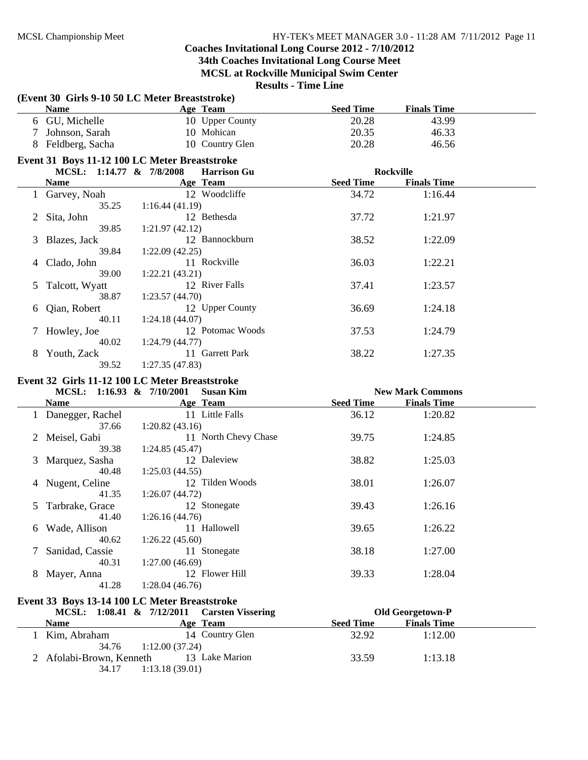## **Coaches Invitational Long Course 2012 - 7/10/2012 34th Coaches Invitational Long Course Meet MCSL at Rockville Municipal Swim Center**

|   | (Event 30 Girls 9-10 50 LC Meter Breaststroke) |                |                          |                  |                         |  |
|---|------------------------------------------------|----------------|--------------------------|------------------|-------------------------|--|
|   | <b>Name</b>                                    |                | Age Team                 | <b>Seed Time</b> | <b>Finals Time</b>      |  |
|   | 6 GU, Michelle                                 |                | 10 Upper County          | 20.28            | 43.99                   |  |
|   | 7 Johnson, Sarah                               |                | 10 Mohican               | 20.35            | 46.33                   |  |
|   | 8 Feldberg, Sacha                              |                | 10 Country Glen          | 20.28            | 46.56                   |  |
|   |                                                |                |                          |                  |                         |  |
|   | Event 31 Boys 11-12 100 LC Meter Breaststroke  |                |                          |                  |                         |  |
|   | MCSL: 1:14.77 & 7/8/2008                       |                | <b>Harrison Gu</b>       |                  | <b>Rockville</b>        |  |
|   | <b>Name</b>                                    |                | Age Team                 | <b>Seed Time</b> | <b>Finals Time</b>      |  |
|   | 1 Garvey, Noah                                 |                | 12 Woodcliffe            | 34.72            | 1:16.44                 |  |
|   | 35.25                                          | 1:16.44(41.19) |                          |                  |                         |  |
| 2 | Sita, John                                     |                | 12 Bethesda              | 37.72            | 1:21.97                 |  |
|   | 39.85                                          | 1:21.97(42.12) |                          |                  |                         |  |
| 3 | Blazes, Jack                                   |                | 12 Bannockburn           | 38.52            | 1:22.09                 |  |
|   | 39.84                                          | 1:22.09(42.25) |                          |                  |                         |  |
| 4 | Clado, John                                    |                | 11 Rockville             | 36.03            | 1:22.21                 |  |
|   | 39.00                                          | 1:22.21(43.21) |                          |                  |                         |  |
| 5 | Talcott, Wyatt                                 |                | 12 River Falls           | 37.41            | 1:23.57                 |  |
|   | 38.87                                          | 1:23.57(44.70) |                          |                  |                         |  |
| 6 | Qian, Robert                                   |                | 12 Upper County          | 36.69            | 1:24.18                 |  |
|   | 40.11                                          | 1:24.18(44.07) |                          |                  |                         |  |
| 7 | Howley, Joe                                    |                | 12 Potomac Woods         | 37.53            | 1:24.79                 |  |
|   | 40.02                                          | 1:24.79(44.77) |                          |                  |                         |  |
| 8 | Youth, Zack                                    |                | 11 Garrett Park          | 38.22            | 1:27.35                 |  |
|   | 39.52                                          | 1:27.35(47.83) |                          |                  |                         |  |
|   |                                                |                |                          |                  |                         |  |
|   | Event 32 Girls 11-12 100 LC Meter Breaststroke |                |                          |                  |                         |  |
|   | MCSL: 1:16.93 & 7/10/2001                      |                | <b>Susan Kim</b>         |                  | <b>New Mark Commons</b> |  |
|   |                                                |                |                          |                  |                         |  |
|   | <b>Name</b>                                    | Age Team       |                          | <b>Seed Time</b> | <b>Finals Time</b>      |  |
|   | 1 Danegger, Rachel                             |                | 11 Little Falls          | 36.12            | 1:20.82                 |  |
|   | 37.66                                          | 1:20.82(43.16) |                          |                  |                         |  |
| 2 | Meisel, Gabi                                   |                | 11 North Chevy Chase     | 39.75            | 1:24.85                 |  |
|   | 39.38                                          | 1:24.85(45.47) |                          |                  |                         |  |
| 3 | Marquez, Sasha                                 |                | 12 Daleview              | 38.82            | 1:25.03                 |  |
|   | 40.48                                          | 1:25.03(44.55) |                          |                  |                         |  |
|   | 4 Nugent, Celine                               |                | 12 Tilden Woods          | 38.01            | 1:26.07                 |  |
|   | 41.35                                          | 1:26.07(44.72) |                          |                  |                         |  |
| 5 | Tarbrake, Grace                                |                | 12 Stonegate             | 39.43            | 1:26.16                 |  |
|   | 41.40                                          | 1:26.16(44.76) |                          |                  |                         |  |
|   |                                                |                | 11 Hallowell             | 39.65            | 1:26.22                 |  |
|   | Wade, Allison<br>40.62                         | 1:26.22(45.60) |                          |                  |                         |  |
|   |                                                |                |                          |                  |                         |  |
|   | Sanidad, Cassie<br>40.31                       |                | 11 Stonegate             | 38.18            | 1:27.00                 |  |
|   |                                                | 1:27.00(46.69) |                          |                  |                         |  |
| 8 | Mayer, Anna                                    |                | 12 Flower Hill           | 39.33            | 1:28.04                 |  |
|   | 41.28                                          | 1:28.04(46.76) |                          |                  |                         |  |
|   | Event 33 Boys 13-14 100 LC Meter Breaststroke  |                |                          |                  |                         |  |
|   | MCSL: 1:08.41 & 7/12/2011                      |                | <b>Carsten Vissering</b> |                  | Old Georgetown-P        |  |
|   | <b>Name</b>                                    |                | Age Team                 | <b>Seed Time</b> | <b>Finals Time</b>      |  |
| 1 | Kim, Abraham                                   |                | 14 Country Glen          | 32.92            | 1:12.00                 |  |
|   | 34.76                                          | 1:12.00(37.24) |                          |                  |                         |  |
|   | 2 Afolabi-Brown, Kenneth<br>34.17              | 1:13.18(39.01) | 13 Lake Marion           | 33.59            | 1:13.18                 |  |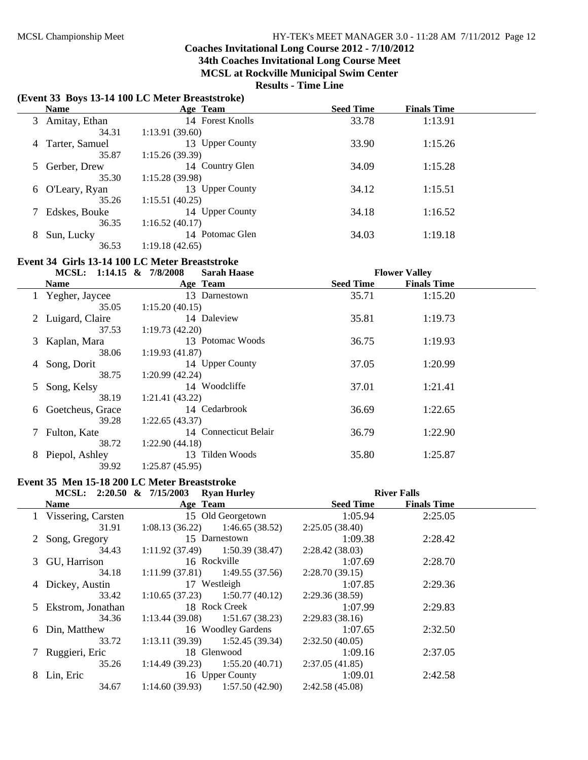# **Coaches Invitational Long Course 2012 - 7/10/2012 34th Coaches Invitational Long Course Meet**

**MCSL at Rockville Municipal Swim Center**

**Results - Time Line**

|    |                          |                                                 | Results - Thine Line |                      |  |
|----|--------------------------|-------------------------------------------------|----------------------|----------------------|--|
|    |                          | (Event 33 Boys 13-14 100 LC Meter Breaststroke) |                      |                      |  |
|    | <b>Name</b>              | Age Team                                        | <b>Seed Time</b>     | <b>Finals Time</b>   |  |
| 3  | Amitay, Ethan            | 14 Forest Knolls                                | 33.78                | 1:13.91              |  |
|    | 34.31                    | 1:13.91(39.60)                                  |                      |                      |  |
| 4  | Tarter, Samuel           | 13 Upper County                                 | 33.90                | 1:15.26              |  |
|    | 35.87                    | 1:15.26(39.39)                                  |                      |                      |  |
| 5. | Gerber, Drew             | 14 Country Glen                                 | 34.09                | 1:15.28              |  |
|    | 35.30                    | 1:15.28(39.98)                                  |                      |                      |  |
| 6  | O'Leary, Ryan            | 13 Upper County                                 | 34.12                | 1:15.51              |  |
|    | 35.26                    | 1:15.51(40.25)                                  |                      |                      |  |
|    | Edskes, Bouke            | 14 Upper County                                 | 34.18                | 1:16.52              |  |
|    | 36.35                    | 1:16.52(40.17)                                  |                      |                      |  |
| 8  | Sun, Lucky               | 14 Potomac Glen                                 | 34.03                | 1:19.18              |  |
|    | 36.53                    | 1:19.18(42.65)                                  |                      |                      |  |
|    |                          | Event 34 Girls 13-14 100 LC Meter Breaststroke  |                      |                      |  |
|    | MCSL: 1:14.15 & 7/8/2008 | <b>Sarah Haase</b>                              |                      | <b>Flower Valley</b> |  |
|    | <b>Name</b>              | Age Team                                        | <b>Seed Time</b>     | <b>Finals Time</b>   |  |
|    | Yegher, Jaycee           | 13 Darnestown                                   | 35.71                | 1:15.20              |  |
|    | 35.05                    | 1:15.20(40.15)                                  |                      |                      |  |
|    | Luigard, Claire          | 14 Daleview                                     | 35.81                | 1:19.73              |  |
|    | 37.53                    | 1:19.73(42.20)                                  |                      |                      |  |
| 3  | Kaplan, Mara             | 13 Potomac Woods                                | 36.75                | 1:19.93              |  |
|    | 38.06                    | 1:19.93(41.87)                                  |                      |                      |  |
| 4  | Song, Dorit              | 14 Upper County                                 | 37.05                | 1:20.99              |  |
|    | 38.75                    | 1:20.99(42.24)                                  |                      |                      |  |
|    |                          |                                                 |                      |                      |  |

|   | MCSL: 1:14.15 $\alpha$ // $\delta$ /2008 | Saran Haase           |                  | <b>Flower</b> valley |  |
|---|------------------------------------------|-----------------------|------------------|----------------------|--|
|   | <b>Name</b>                              | Age Team              | <b>Seed Time</b> | <b>Finals Time</b>   |  |
|   | 1 Yegher, Jaycee                         | 13 Darnestown         | 35.71            | 1:15.20              |  |
|   | 35.05                                    | 1:15.20(40.15)        |                  |                      |  |
|   | 2 Luigard, Claire                        | 14 Daleview           | 35.81            | 1:19.73              |  |
|   | 37.53                                    | 1:19.73(42.20)        |                  |                      |  |
|   | 3 Kaplan, Mara                           | 13 Potomac Woods      | 36.75            | 1:19.93              |  |
|   | 38.06                                    | 1:19.93(41.87)        |                  |                      |  |
| 4 | Song, Dorit                              | 14 Upper County       | 37.05            | 1:20.99              |  |
|   | 38.75                                    | 1:20.99(42.24)        |                  |                      |  |
|   | 5 Song, Kelsy                            | 14 Woodcliffe         | 37.01            | 1:21.41              |  |
|   | 38.19                                    | 1:21.41(43.22)        |                  |                      |  |
| 6 | Goetcheus, Grace                         | 14 Cedarbrook         | 36.69            | 1:22.65              |  |
|   | 39.28                                    | 1:22.65(43.37)        |                  |                      |  |
|   | Fulton, Kate                             | 14 Connecticut Belair | 36.79            | 1:22.90              |  |
|   | 38.72                                    | 1:22.90(44.18)        |                  |                      |  |
| 8 | Piepol, Ashley                           | 13 Tilden Woods       | 35.80            | 1:25.87              |  |
|   | 39.92                                    | 1:25.87(45.95)        |                  |                      |  |

### **Event 35 Men 15-18 200 LC Meter Breaststroke**

|   |                      | MCSL: 2:20.50 & 7/15/2003 Ryan Hurley |                    | <b>River Falls</b> |                    |  |
|---|----------------------|---------------------------------------|--------------------|--------------------|--------------------|--|
|   | <b>Name</b>          | Age Team                              |                    | <b>Seed Time</b>   | <b>Finals Time</b> |  |
|   | 1 Vissering, Carsten |                                       | 15 Old Georgetown  | 1:05.94            | 2:25.05            |  |
|   | 31.91                | $1:08.13(36.22)$ $1:46.65(38.52)$     |                    | 2:25.05(38.40)     |                    |  |
|   | 2 Song, Gregory      | 15 Darnestown                         |                    | 1:09.38            | 2:28.42            |  |
|   | 34.43                | $1:11.92(37.49)$ $1:50.39(38.47)$     |                    | 2:28.42(38.03)     |                    |  |
|   | 3 GU, Harrison       | 16 Rockville                          |                    | 1:07.69            | 2:28.70            |  |
|   | 34.18                | $1:11.99(37.81)$ $1:49.55(37.56)$     |                    | 2:28.70(39.15)     |                    |  |
|   | 4 Dickey, Austin     | 17 Westleigh                          |                    | 1:07.85            | 2:29.36            |  |
|   | 33.42                | $1:10.65(37.23)$ $1:50.77(40.12)$     |                    | 2:29.36(38.59)     |                    |  |
|   | 5 Ekstrom, Jonathan  | 18 Rock Creek                         |                    | 1:07.99            | 2:29.83            |  |
|   | 34.36                | $1:13.44(39.08)$ $1:51.67(38.23)$     |                    | 2:29.83(38.16)     |                    |  |
|   | 6 Din, Matthew       |                                       | 16 Woodley Gardens | 1:07.65            | 2:32.50            |  |
|   | 33.72                | $1:13.11(39.39)$ $1:52.45(39.34)$     |                    | 2:32.50(40.05)     |                    |  |
|   | 7 Ruggieri, Eric     | 18 Glenwood                           |                    | 1:09.16            | 2:37.05            |  |
|   | 35.26                | $1:14.49(39.23)$ $1:55.20(40.71)$     |                    | 2:37.05(41.85)     |                    |  |
| 8 | Lin, Eric            | 16 Upper County                       |                    | 1:09.01            | 2:42.58            |  |
|   | 34.67                | $1:14.60(39.93)$ $1:57.50(42.90)$     |                    | 2:42.58(45.08)     |                    |  |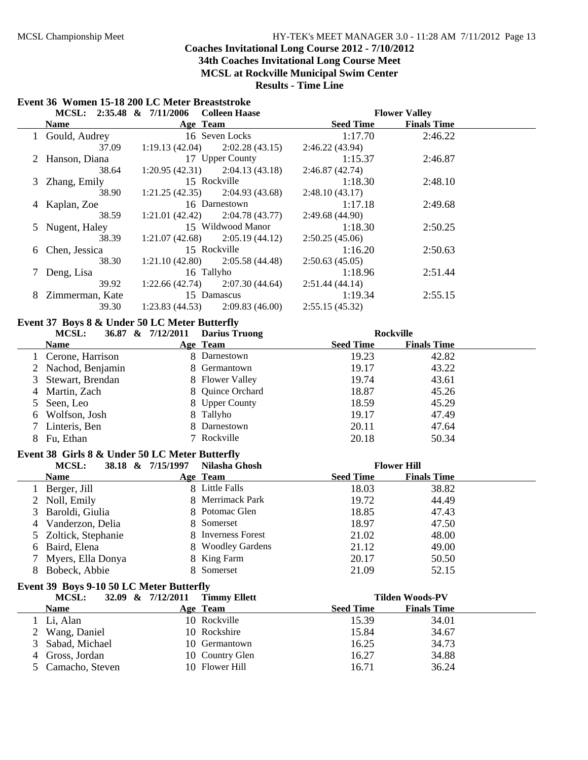## **Coaches Invitational Long Course 2012 - 7/10/2012 34th Coaches Invitational Long Course Meet**

**MCSL at Rockville Municipal Swim Center**

|    | Event 36 Women 15-18 200 LC Meter Breaststroke |                                           |                      |                  |                        |  |
|----|------------------------------------------------|-------------------------------------------|----------------------|------------------|------------------------|--|
|    | MCSL: 2:35.48 & 7/11/2006                      |                                           | <b>Colleen Haase</b> |                  | <b>Flower Valley</b>   |  |
|    | <b>Name</b>                                    |                                           | Age Team             | <b>Seed Time</b> | <b>Finals Time</b>     |  |
| 1  | Gould, Audrey                                  |                                           | 16 Seven Locks       | 1:17.70          | 2:46.22                |  |
|    | 37.09                                          | 1:19.13(42.04)                            | 2:02.28(43.15)       | 2:46.22 (43.94)  |                        |  |
|    | Hanson, Diana                                  |                                           | 17 Upper County      | 1:15.37          | 2:46.87                |  |
|    | 38.64                                          | 1:20.95(42.31)                            | 2:04.13(43.18)       | 2:46.87 (42.74)  |                        |  |
| 3  | Zhang, Emily                                   |                                           | 15 Rockville         | 1:18.30          | 2:48.10                |  |
|    | 38.90                                          | 1:21.25(42.35)                            | 2:04.93(43.68)       | 2:48.10 (43.17)  |                        |  |
| 4  | Kaplan, Zoe                                    |                                           | 16 Darnestown        | 1:17.18          | 2:49.68                |  |
|    | 38.59                                          | 1:21.01(42.42)                            | 2:04.78(43.77)       | 2:49.68 (44.90)  |                        |  |
| 5  | Nugent, Haley                                  |                                           | 15 Wildwood Manor    | 1:18.30          | 2:50.25                |  |
|    | 38.39                                          | 1:21.07(42.68)                            | 2:05.19(44.12)       | 2:50.25 (45.06)  |                        |  |
| 6  | Chen, Jessica                                  |                                           | 15 Rockville         | 1:16.20          | 2:50.63                |  |
|    | 38.30                                          | 1:21.10 (42.80)                           | 2:05.58(44.48)       | 2:50.63(45.05)   |                        |  |
| 7  | Deng, Lisa                                     |                                           | 16 Tallyho           | 1:18.96          | 2:51.44                |  |
|    | 39.92                                          | 1:22.66(42.74)                            | 2:07.30(44.64)       | 2:51.44(44.14)   |                        |  |
| 8  | Zimmerman, Kate                                |                                           | 15 Damascus          | 1:19.34          | 2:55.15                |  |
|    | 39.30                                          | 1:23.83(44.53)                            | 2:09.83(46.00)       | 2:55.15 (45.32)  |                        |  |
|    | Event 37 Boys 8 & Under 50 LC Meter Butterfly  |                                           |                      |                  |                        |  |
|    | <b>MCSL:</b>                                   | 36.87 & 7/12/2011<br><b>Darius Truong</b> |                      | <b>Rockville</b> |                        |  |
|    | <b>Name</b>                                    |                                           | Age Team             | <b>Seed Time</b> | <b>Finals Time</b>     |  |
|    | 1 Cerone, Harrison                             |                                           | 8 Darnestown         | 19.23            | 42.82                  |  |
| 2  | Nachod, Benjamin                               |                                           | 8 Germantown         | 19.17            | 43.22                  |  |
| 3  | Stewart, Brendan                               |                                           | 8 Flower Valley      | 19.74            | 43.61                  |  |
| 4  | Martin, Zach                                   |                                           | 8 Quince Orchard     | 18.87            | 45.26                  |  |
| 5  | Seen, Leo                                      |                                           | 8 Upper County       | 18.59            | 45.29                  |  |
| 6  | Wolfson, Josh                                  |                                           | 8 Tallyho            | 19.17            | 47.49                  |  |
| 7  | Linteris, Ben                                  |                                           | 8 Darnestown         | 20.11            | 47.64                  |  |
| 8  | Fu, Ethan                                      |                                           | 7 Rockville          | 20.18            | 50.34                  |  |
|    |                                                |                                           |                      |                  |                        |  |
|    | Event 38 Girls 8 & Under 50 LC Meter Butterfly |                                           |                      |                  |                        |  |
|    | MCSL:                                          | 38.18 & 7/15/1997                         | Nilasha Ghosh        |                  | <b>Flower Hill</b>     |  |
|    | <b>Name</b>                                    |                                           | Age Team             | <b>Seed Time</b> | <b>Finals Time</b>     |  |
| 1  | Berger, Jill                                   |                                           | 8 Little Falls       | 18.03            | 38.82                  |  |
| 2  | Noll, Emily                                    |                                           | 8 Merrimack Park     | 19.72            | 44.49                  |  |
| 3  | Baroldi, Giulia                                |                                           | 8 Potomac Glen       | 18.85            | 47.43                  |  |
|    | 4 Vanderzon, Delia                             |                                           | 8 Somerset           | 18.97            | 47.50                  |  |
|    | Zoltick, Stephanie                             |                                           | 8 Inverness Forest   | 21.02            | 48.00                  |  |
| 6  | Baird, Elena                                   |                                           | 8 Woodley Gardens    | 21.12            | 49.00                  |  |
| 7  | Myers, Ella Donya                              |                                           | 8 King Farm          | 20.17            | 50.50                  |  |
| 8  | Bobeck, Abbie                                  |                                           | 8 Somerset           | 21.09            | 52.15                  |  |
|    | Event 39 Boys 9-10 50 LC Meter Butterfly       |                                           |                      |                  |                        |  |
|    | MCSL:                                          | 32.09 & 7/12/2011                         | <b>Timmy Ellett</b>  |                  | <b>Tilden Woods-PV</b> |  |
|    | <b>Name</b>                                    |                                           | Age Team             | <b>Seed Time</b> | <b>Finals Time</b>     |  |
| 1  | Li, Alan                                       |                                           | 10 Rockville         | 15.39            | 34.01                  |  |
| 2  | Wang, Daniel                                   |                                           | 10 Rockshire         | 15.84            | 34.67                  |  |
| 3  | Sabad, Michael                                 |                                           | 10 Germantown        | 16.25            | 34.73                  |  |
| 4  | Gross, Jordan                                  |                                           | 10 Country Glen      | 16.27            | 34.88                  |  |
| 5. | Camacho, Steven                                |                                           | 10 Flower Hill       | 16.71            | 36.24                  |  |
|    |                                                |                                           |                      |                  |                        |  |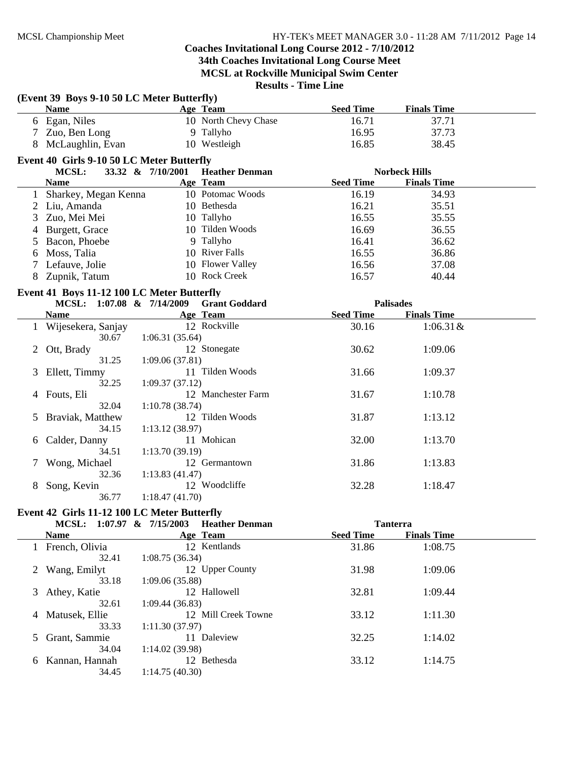## **Coaches Invitational Long Course 2012 - 7/10/2012 34th Coaches Invitational Long Course Meet MCSL at Rockville Municipal Swim Center**

|   | (Event 39 Boys 9-10 50 LC Meter Butterfly)         |                   |                       |                  |                      |  |
|---|----------------------------------------------------|-------------------|-----------------------|------------------|----------------------|--|
|   | <b>Name</b>                                        |                   | Age Team              | <b>Seed Time</b> | <b>Finals Time</b>   |  |
|   | 6 Egan, Niles                                      |                   | 10 North Chevy Chase  | 16.71            | 37.71                |  |
|   | 7 Zuo, Ben Long                                    |                   | 9 Tallyho             | 16.95            | 37.73                |  |
|   | 8 McLaughlin, Evan                                 |                   | 10 Westleigh          | 16.85            | 38.45                |  |
|   |                                                    |                   |                       |                  |                      |  |
|   | Event 40 Girls 9-10 50 LC Meter Butterfly<br>MCSL: | 33.32 & 7/10/2001 | <b>Heather Denman</b> |                  | <b>Norbeck Hills</b> |  |
|   | <b>Name</b>                                        |                   | Age Team              | <b>Seed Time</b> | <b>Finals Time</b>   |  |
|   | Sharkey, Megan Kenna                               |                   | 10 Potomac Woods      | 16.19            | 34.93                |  |
| 2 | Liu, Amanda                                        |                   | 10 Bethesda           | 16.21            | 35.51                |  |
| 3 | Zuo, Mei Mei                                       |                   | 10 Tallyho            | 16.55            | 35.55                |  |
| 4 | Burgett, Grace                                     |                   | 10 Tilden Woods       | 16.69            | 36.55                |  |
| 5 | Bacon, Phoebe                                      |                   | 9 Tallyho             | 16.41            | 36.62                |  |
|   | Moss, Talia                                        |                   | 10 River Falls        | 16.55            | 36.86                |  |
| 6 | Lefauve, Jolie                                     |                   | 10 Flower Valley      | 16.56            | 37.08                |  |
| 7 |                                                    |                   | 10 Rock Creek         |                  |                      |  |
|   | 8 Zupnik, Tatum                                    |                   |                       | 16.57            | 40.44                |  |
|   | Event 41 Boys 11-12 100 LC Meter Butterfly         |                   |                       |                  |                      |  |
|   | MCSL: 1:07.08 & 7/14/2009                          |                   | <b>Grant Goddard</b>  |                  | <b>Palisades</b>     |  |
|   | <b>Name</b>                                        |                   | Age Team              | <b>Seed Time</b> | <b>Finals Time</b>   |  |
|   | 1 Wijesekera, Sanjay                               |                   | 12 Rockville          | 30.16            | $1:06.31 \&$         |  |
|   | 30.67                                              | 1:06.31(35.64)    |                       |                  |                      |  |
| 2 | Ott, Brady                                         |                   | 12 Stonegate          | 30.62            | 1:09.06              |  |
|   | 31.25                                              | 1:09.06(37.81)    |                       |                  |                      |  |
| 3 | Ellett, Timmy                                      |                   | 11 Tilden Woods       | 31.66            | 1:09.37              |  |
|   | 32.25                                              | 1:09.37(37.12)    |                       |                  |                      |  |
| 4 | Fouts, Eli                                         |                   | 12 Manchester Farm    | 31.67            | 1:10.78              |  |
|   | 32.04                                              | 1:10.78(38.74)    |                       |                  |                      |  |
| 5 | Braviak, Matthew                                   |                   | 12 Tilden Woods       | 31.87            | 1:13.12              |  |
|   | 34.15                                              | 1:13.12(38.97)    |                       |                  |                      |  |
| 6 | Calder, Danny                                      |                   | 11 Mohican            | 32.00            | 1:13.70              |  |
|   | 34.51                                              | 1:13.70(39.19)    | 12 Germantown         | 31.86            | 1:13.83              |  |
| 7 | Wong, Michael                                      |                   |                       |                  |                      |  |
| 8 | 32.36<br>Song, Kevin                               | 1:13.83(41.47)    | 12 Woodcliffe         | 32.28            | 1:18.47              |  |
|   | 36.77                                              | 1:18.47(41.70)    |                       |                  |                      |  |
|   |                                                    |                   |                       |                  |                      |  |
|   | Event 42 Girls 11-12 100 LC Meter Butterfly        |                   |                       |                  |                      |  |
|   | MCSL: 1:07.97 & 7/15/2003 Heather Denman           |                   |                       |                  | <b>Tanterra</b>      |  |
|   | <b>Name</b>                                        |                   | Age Team              | <b>Seed Time</b> | <b>Finals Time</b>   |  |
|   | 1 French, Olivia                                   |                   | 12 Kentlands          | 31.86            | 1:08.75              |  |
|   | 32.41                                              | 1:08.75(36.34)    |                       |                  |                      |  |
| 2 | Wang, Emilyt                                       |                   | 12 Upper County       | 31.98            | 1:09.06              |  |
|   | 33.18                                              | 1:09.06(35.88)    |                       |                  |                      |  |
| 3 | Athey, Katie                                       |                   | 12 Hallowell          | 32.81            | 1:09.44              |  |
|   | 32.61                                              | 1:09.44(36.83)    |                       |                  |                      |  |
| 4 | Matusek, Ellie                                     |                   | 12 Mill Creek Towne   | 33.12            | 1:11.30              |  |
|   | 33.33                                              | 1:11.30(37.97)    | 11 Daleview           |                  |                      |  |
| 5 | Grant, Sammie                                      |                   |                       | 32.25            | 1:14.02              |  |
|   | 34.04                                              | 1:14.02(39.98)    | 12 Bethesda           | 33.12            | 1:14.75              |  |
| 6 | Kannan, Hannah<br>34.45                            | 1:14.75(40.30)    |                       |                  |                      |  |
|   |                                                    |                   |                       |                  |                      |  |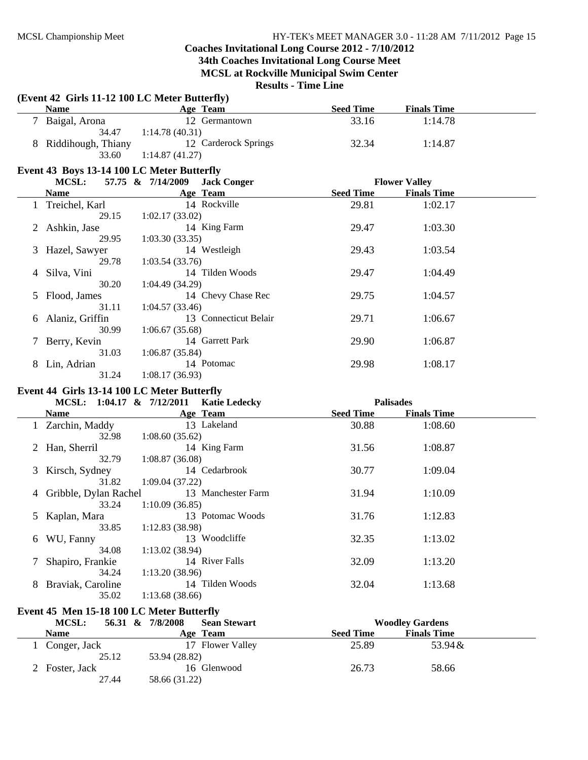## **Coaches Invitational Long Course 2012 - 7/10/2012 34th Coaches Invitational Long Course Meet MCSL at Rockville Municipal Swim Center**

|             |                                                            | (Event 42 Girls 11-12 100 LC Meter Butterfly) |                  |                                            |  |
|-------------|------------------------------------------------------------|-----------------------------------------------|------------------|--------------------------------------------|--|
|             | <b>Name</b>                                                | Age Team                                      | <b>Seed Time</b> | <b>Finals Time</b>                         |  |
| $7^{\circ}$ | Baigal, Arona<br>34.47                                     | 12 Germantown<br>1:14.78(40.31)               | 33.16            | 1:14.78                                    |  |
|             | Riddihough, Thiany<br>33.60                                | 12 Carderock Springs<br>1:14.87(41.27)        | 32.34            | 1:14.87                                    |  |
|             |                                                            |                                               |                  |                                            |  |
|             | Event 43 Boys 13-14 100 LC Meter Butterfly<br><b>MCSL:</b> | 57.75 & 7/14/2009<br><b>Jack Conger</b>       |                  |                                            |  |
|             | <b>Name</b>                                                | Age Team                                      | <b>Seed Time</b> | <b>Flower Valley</b><br><b>Finals Time</b> |  |
|             | 1 Treichel, Karl                                           | 14 Rockville                                  | 29.81            | 1:02.17                                    |  |
|             | 29.15                                                      | 1:02.17(33.02)                                |                  |                                            |  |
|             | 2 Ashkin, Jase                                             | 14 King Farm                                  | 29.47            | 1:03.30                                    |  |
|             | 29.95                                                      | 1:03.30(33.35)                                |                  |                                            |  |
| 3           | Hazel, Sawyer                                              | 14 Westleigh                                  | 29.43            | 1:03.54                                    |  |
|             | 29.78                                                      | 1:03.54(33.76)                                |                  |                                            |  |
| 4           | Silva, Vini                                                | 14 Tilden Woods                               | 29.47            | 1:04.49                                    |  |
|             | 30.20                                                      | 1:04.49 (34.29)                               |                  |                                            |  |
| 5           | Flood, James                                               | 14 Chevy Chase Rec                            | 29.75            | 1:04.57                                    |  |
|             | 31.11                                                      | 1:04.57(33.46)                                |                  |                                            |  |
| 6           | Alaniz, Griffin                                            | 13 Connecticut Belair                         | 29.71            | 1:06.67                                    |  |
|             | 30.99                                                      | 1:06.67(35.68)                                |                  |                                            |  |
|             | Berry, Kevin                                               | 14 Garrett Park                               | 29.90            | 1:06.87                                    |  |
|             | 31.03                                                      | 1:06.87(35.84)                                |                  |                                            |  |
|             | 8 Lin, Adrian                                              | 14 Potomac                                    | 29.98            | 1:08.17                                    |  |
|             | 31.24                                                      | 1:08.17(36.93)                                |                  |                                            |  |
|             | Event 44 Girls 13-14 100 LC Meter Butterfly                |                                               |                  |                                            |  |
|             | MCSL: 1:04.17 & 7/12/2011                                  | <b>Katie Ledecky</b>                          |                  | <b>Palisades</b>                           |  |
|             | <b>Name</b>                                                | Age Team                                      | <b>Seed Time</b> | <b>Finals Time</b>                         |  |
|             | 1 Zarchin, Maddy                                           | 13 Lakeland                                   | 30.88            | 1:08.60                                    |  |
|             | 32.98                                                      | 1:08.60(35.62)                                |                  |                                            |  |
| 2           | Han, Sherril                                               | 14 King Farm                                  | 31.56            | 1:08.87                                    |  |
|             | 32.79                                                      | 1:08.87(36.08)                                |                  |                                            |  |
| 3           | Kirsch, Sydney                                             | 14 Cedarbrook                                 | 30.77            | 1:09.04                                    |  |
|             | 31.82                                                      | 1:09.04(37.22)                                |                  |                                            |  |
| 4           | Gribble, Dylan Rachel                                      | 13 Manchester Farm                            | 31.94            | 1:10.09                                    |  |
|             | 33.24                                                      | 1:10.09(36.85)                                |                  |                                            |  |
| 5           | Kaplan, Mara                                               | 13 Potomac Woods                              | 31.76            | 1:12.83                                    |  |
|             | 33.85                                                      | 1:12.83 (38.98)                               |                  |                                            |  |
| 6           | WU, Fanny                                                  | 13 Woodcliffe                                 | 32.35            | 1:13.02                                    |  |
|             | 34.08                                                      | 1:13.02 (38.94)                               |                  |                                            |  |
| 7           | Shapiro, Frankie                                           | 14 River Falls                                | 32.09            | 1:13.20                                    |  |
|             | 34.24                                                      | 1:13.20(38.96)                                |                  |                                            |  |
| 8           | Braviak, Caroline                                          | 14 Tilden Woods                               | 32.04            | 1:13.68                                    |  |
|             | 35.02                                                      | 1:13.68(38.66)                                |                  |                                            |  |
|             | Event 45 Men 15-18 100 LC Meter Butterfly                  |                                               |                  |                                            |  |
|             | MCSL:                                                      | 56.31 & 7/8/2008<br><b>Sean Stewart</b>       |                  | <b>Woodley Gardens</b>                     |  |
|             | <b>Name</b>                                                | Age Team                                      | <b>Seed Time</b> | <b>Finals Time</b>                         |  |
|             | 1 Conger, Jack                                             | 17 Flower Valley                              | 25.89            | 53.94 &                                    |  |
|             | 25.12                                                      | 53.94 (28.82)                                 |                  |                                            |  |
|             | Foster, Jack                                               | 16 Glenwood                                   | 26.73            | 58.66                                      |  |
|             | 27.44                                                      | 58.66 (31.22)                                 |                  |                                            |  |